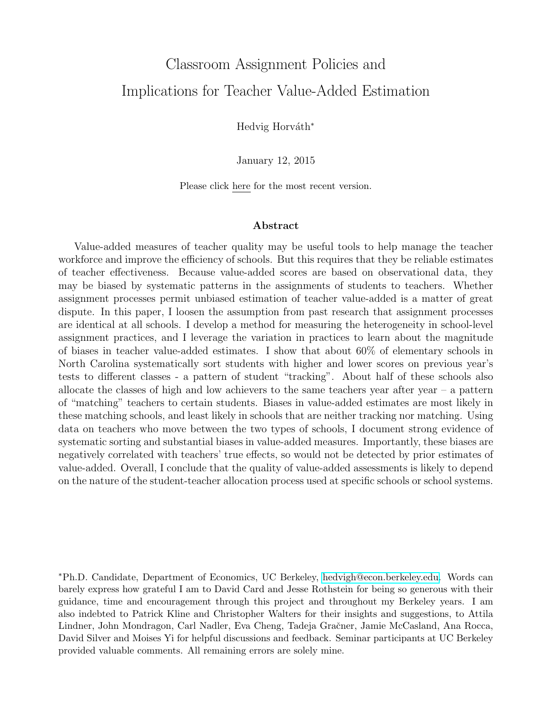# <span id="page-0-0"></span>Classroom Assignment Policies and Implications for Teacher Value-Added Estimation

Hedvig Horváth<sup>\*</sup>

January 12, 2015

Please click here for the most recent version.

#### Abstract

Value-added measures of teacher quality may be useful tools to help manage the teacher workforce and improve the efficiency of schools. But this requires that they be reliable estimates of teacher effectiveness. Because value-added scores are based on observational data, they may be biased by systematic patterns in the assignments of students to teachers. Whether assignment processes permit unbiased estimation of teacher value-added is a matter of great dispute. In this paper, I loosen the assumption from past research that assignment processes are identical at all schools. I develop a method for measuring the heterogeneity in school-level assignment practices, and I leverage the variation in practices to learn about the magnitude of biases in teacher value-added estimates. I show that about 60% of elementary schools in North Carolina systematically sort students with higher and lower scores on previous year's tests to different classes - a pattern of student "tracking". About half of these schools also allocate the classes of high and low achievers to the same teachers year after year – a pattern of "matching" teachers to certain students. Biases in value-added estimates are most likely in these matching schools, and least likely in schools that are neither tracking nor matching. Using data on teachers who move between the two types of schools, I document strong evidence of systematic sorting and substantial biases in value-added measures. Importantly, these biases are negatively correlated with teachers' true effects, so would not be detected by prior estimates of value-added. Overall, I conclude that the quality of value-added assessments is likely to depend on the nature of the student-teacher allocation process used at specific schools or school systems.

<sup>∗</sup>Ph.D. Candidate, Department of Economics, UC Berkeley, [hedvigh@econ.berkeley.edu.](mailto:) Words can barely express how grateful I am to David Card and Jesse Rothstein for being so generous with their guidance, time and encouragement through this project and throughout my Berkeley years. I am also indebted to Patrick Kline and Christopher Walters for their insights and suggestions, to Attila Lindner, John Mondragon, Carl Nadler, Eva Cheng, Tadeja Gračner, Jamie McCasland, Ana Rocca, David Silver and Moises Yi for helpful discussions and feedback. Seminar participants at UC Berkeley provided valuable comments. All remaining errors are solely mine.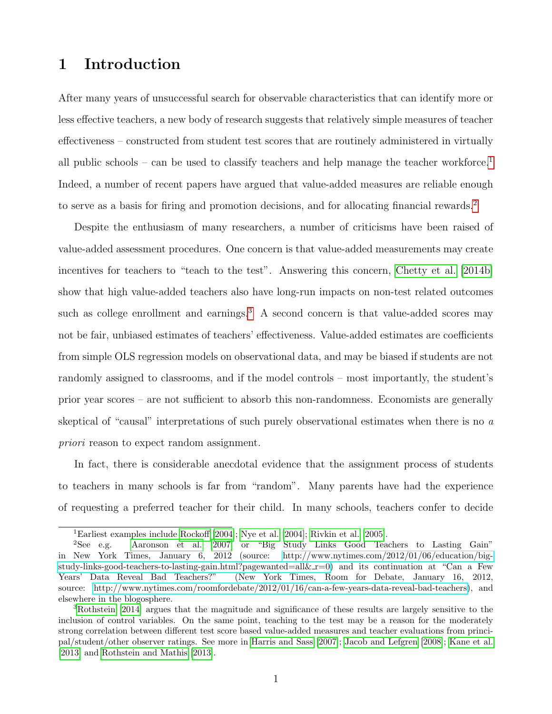# 1 Introduction

After many years of unsuccessful search for observable characteristics that can identify more or less effective teachers, a new body of research suggests that relatively simple measures of teacher effectiveness – constructed from student test scores that are routinely administered in virtually all public schools – can be used to classify teachers and help manage the teacher workforce.<sup>[1](#page-0-0)</sup> Indeed, a number of recent papers have argued that value-added measures are reliable enough to serve as a basis for firing and promotion decisions, and for allocating financial rewards.[2](#page-0-0)

Despite the enthusiasm of many researchers, a number of criticisms have been raised of value-added assessment procedures. One concern is that value-added measurements may create incentives for teachers to "teach to the test". Answering this concern, [Chetty et al.](#page-36-0) [\[2014b\]](#page-36-0) show that high value-added teachers also have long-run impacts on non-test related outcomes such as college enrollment and earnings.<sup>[3](#page-0-0)</sup> A second concern is that value-added scores may not be fair, unbiased estimates of teachers' effectiveness. Value-added estimates are coefficients from simple OLS regression models on observational data, and may be biased if students are not randomly assigned to classrooms, and if the model controls – most importantly, the student's prior year scores – are not sufficient to absorb this non-randomness. Economists are generally skeptical of "causal" interpretations of such purely observational estimates when there is no  $a$ priori reason to expect random assignment.

In fact, there is considerable anecdotal evidence that the assignment process of students to teachers in many schools is far from "random". Many parents have had the experience of requesting a preferred teacher for their child. In many schools, teachers confer to decide

<sup>1</sup>Earliest examples include [Rockoff](#page-38-0) [\[2004\]](#page-38-0); [Nye et al.](#page-37-0) [\[2004\]](#page-37-0); [Rivkin et al.](#page-38-1) [\[2005\]](#page-38-1).

<sup>2</sup>See e.g. [Aaronson et al.](#page-36-1) [\[2007\]](#page-36-1) or "Big Study Links Good Teachers to Lasting Gain" in New York Times, January 6, 2012 (source: [http://www.nytimes.com/2012/01/06/education/big](http://www.nytimes.com/2012/01/06/education/big-study-links-good-teachers-to-lasting-gain.html?pagewanted=all&_r=0)[study-links-good-teachers-to-lasting-gain.html?pagewanted=all&](http://www.nytimes.com/2012/01/06/education/big-study-links-good-teachers-to-lasting-gain.html?pagewanted=all&_r=0)  $r=0$ ) and its continuation at "Can a Few Years' Data Reveal Bad Teachers?" (New York Times, Room for Debate, January 16, 2012, source: [http://www.nytimes.com/roomfordebate/2012/01/16/can-a-few-years-data-reveal-bad-teachers\)](http://www.nytimes.com/roomfordebate/2012/01/16/can-a-few-years-data-reveal-bad-teachers), and elsewhere in the blogosphere.

<sup>3</sup>[Rothstein](#page-38-2) [\[2014\]](#page-38-2) argues that the magnitude and significance of these results are largely sensitive to the inclusion of control variables. On the same point, teaching to the test may be a reason for the moderately strong correlation between different test score based value-added measures and teacher evaluations from principal/student/other observer ratings. See more in [Harris and Sass](#page-37-1) [\[2007\]](#page-37-1); [Jacob and Lefgren](#page-37-2) [\[2008\]](#page-37-2); [Kane et al.](#page-37-3) [\[2013\]](#page-37-3) and [Rothstein and Mathis](#page-38-3) [\[2013\]](#page-38-3).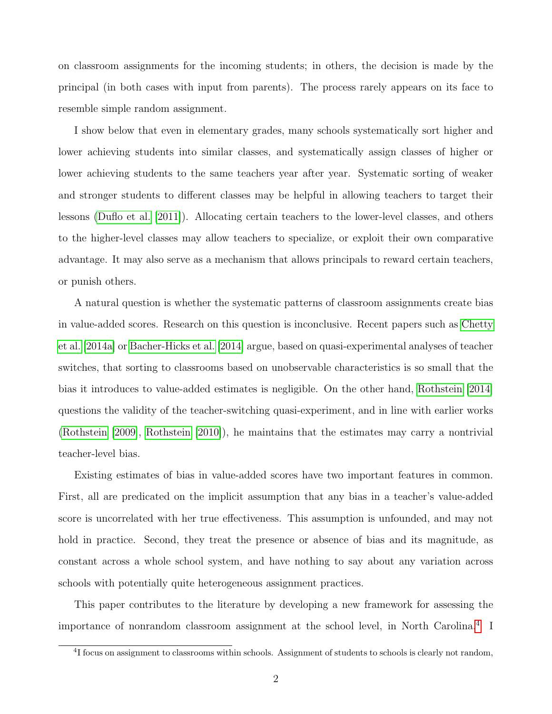on classroom assignments for the incoming students; in others, the decision is made by the principal (in both cases with input from parents). The process rarely appears on its face to resemble simple random assignment.

I show below that even in elementary grades, many schools systematically sort higher and lower achieving students into similar classes, and systematically assign classes of higher or lower achieving students to the same teachers year after year. Systematic sorting of weaker and stronger students to different classes may be helpful in allowing teachers to target their lessons [\(Duflo et al.](#page-36-2) [\[2011\]](#page-36-2)). Allocating certain teachers to the lower-level classes, and others to the higher-level classes may allow teachers to specialize, or exploit their own comparative advantage. It may also serve as a mechanism that allows principals to reward certain teachers, or punish others.

A natural question is whether the systematic patterns of classroom assignments create bias in value-added scores. Research on this question is inconclusive. Recent papers such as [Chetty](#page-36-3) [et al.](#page-36-3) [\[2014a\]](#page-36-3) or [Bacher-Hicks et al.](#page-36-4) [\[2014\]](#page-36-4) argue, based on quasi-experimental analyses of teacher switches, that sorting to classrooms based on unobservable characteristics is so small that the bias it introduces to value-added estimates is negligible. On the other hand, [Rothstein](#page-38-2) [\[2014\]](#page-38-2) questions the validity of the teacher-switching quasi-experiment, and in line with earlier works [\(Rothstein](#page-38-4) [\[2009\]](#page-38-4), [Rothstein](#page-38-5) [\[2010\]](#page-38-5)), he maintains that the estimates may carry a nontrivial teacher-level bias.

Existing estimates of bias in value-added scores have two important features in common. First, all are predicated on the implicit assumption that any bias in a teacher's value-added score is uncorrelated with her true effectiveness. This assumption is unfounded, and may not hold in practice. Second, they treat the presence or absence of bias and its magnitude, as constant across a whole school system, and have nothing to say about any variation across schools with potentially quite heterogeneous assignment practices.

This paper contributes to the literature by developing a new framework for assessing the importance of nonrandom classroom assignment at the school level, in North Carolina.[4](#page-0-0) I

<sup>&</sup>lt;sup>4</sup>I focus on assignment to classrooms within schools. Assignment of students to schools is clearly not random,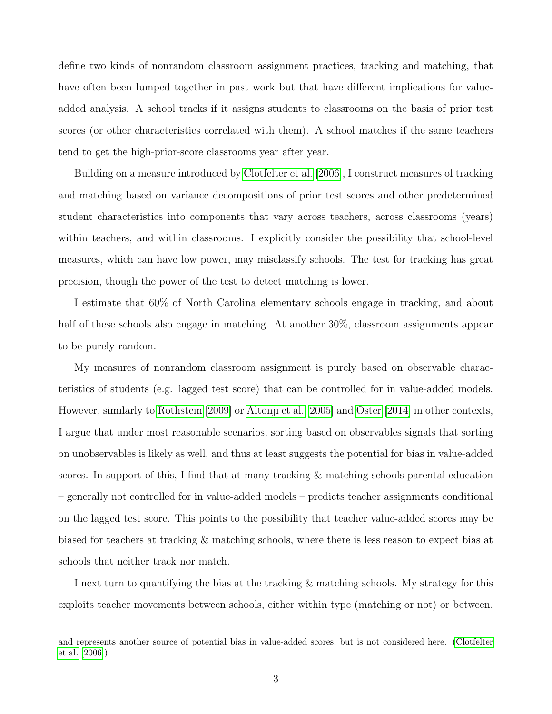define two kinds of nonrandom classroom assignment practices, tracking and matching, that have often been lumped together in past work but that have different implications for valueadded analysis. A school tracks if it assigns students to classrooms on the basis of prior test scores (or other characteristics correlated with them). A school matches if the same teachers tend to get the high-prior-score classrooms year after year.

Building on a measure introduced by [Clotfelter et al.](#page-36-5) [\[2006\]](#page-36-5), I construct measures of tracking and matching based on variance decompositions of prior test scores and other predetermined student characteristics into components that vary across teachers, across classrooms (years) within teachers, and within classrooms. I explicitly consider the possibility that school-level measures, which can have low power, may misclassify schools. The test for tracking has great precision, though the power of the test to detect matching is lower.

I estimate that 60% of North Carolina elementary schools engage in tracking, and about half of these schools also engage in matching. At another  $30\%$ , classroom assignments appear to be purely random.

My measures of nonrandom classroom assignment is purely based on observable characteristics of students (e.g. lagged test score) that can be controlled for in value-added models. However, similarly to [Rothstein](#page-38-4) [\[2009\]](#page-38-4) or [Altonji et al.](#page-36-6) [\[2005\]](#page-36-6) and [Oster](#page-37-4) [\[2014\]](#page-37-4) in other contexts, I argue that under most reasonable scenarios, sorting based on observables signals that sorting on unobservables is likely as well, and thus at least suggests the potential for bias in value-added scores. In support of this, I find that at many tracking & matching schools parental education – generally not controlled for in value-added models – predicts teacher assignments conditional on the lagged test score. This points to the possibility that teacher value-added scores may be biased for teachers at tracking & matching schools, where there is less reason to expect bias at schools that neither track nor match.

I next turn to quantifying the bias at the tracking & matching schools. My strategy for this exploits teacher movements between schools, either within type (matching or not) or between.

and represents another source of potential bias in value-added scores, but is not considered here. [\(Clotfelter](#page-36-5) [et al.](#page-36-5) [\[2006\]](#page-36-5))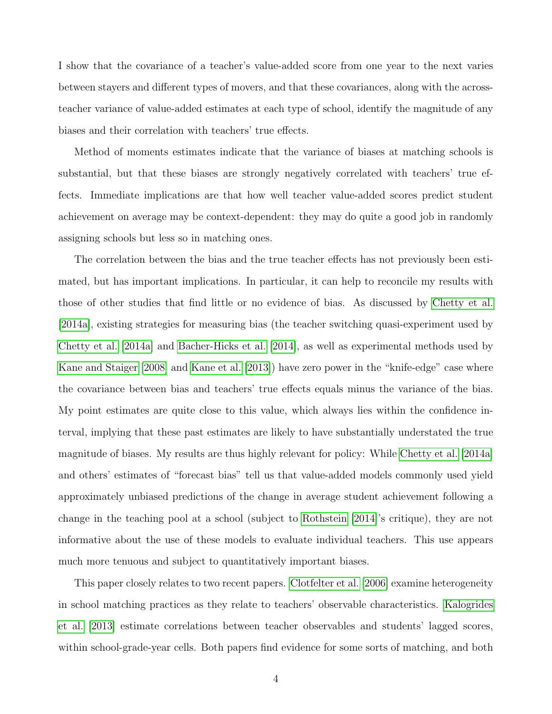I show that the covariance of a teacher's value-added score from one year to the next varies between stayers and different types of movers, and that these covariances, along with the acrossteacher variance of value-added estimates at each type of school, identify the magnitude of any biases and their correlation with teachers' true effects.

Method of moments estimates indicate that the variance of biases at matching schools is substantial, but that these biases are strongly negatively correlated with teachers' true effects. Immediate implications are that how well teacher value-added scores predict student achievement on average may be context-dependent: they may do quite a good job in randomly assigning schools but less so in matching ones.

The correlation between the bias and the true teacher effects has not previously been estimated, but has important implications. In particular, it can help to reconcile my results with those of other studies that find little or no evidence of bias. As discussed by [Chetty et al.](#page-36-3) [\[2014a\]](#page-36-3), existing strategies for measuring bias (the teacher switching quasi-experiment used by [Chetty et al.](#page-36-3) [\[2014a\]](#page-36-3) and [Bacher-Hicks et al.](#page-36-4) [\[2014\]](#page-36-4), as well as experimental methods used by [Kane and Staiger](#page-37-5) [\[2008\]](#page-37-5) and [Kane et al.](#page-37-3) [\[2013\]](#page-37-3)) have zero power in the "knife-edge" case where the covariance between bias and teachers' true effects equals minus the variance of the bias. My point estimates are quite close to this value, which always lies within the confidence interval, implying that these past estimates are likely to have substantially understated the true magnitude of biases. My results are thus highly relevant for policy: While [Chetty et al.](#page-36-3) [\[2014a\]](#page-36-3) and others' estimates of "forecast bias" tell us that value-added models commonly used yield approximately unbiased predictions of the change in average student achievement following a change in the teaching pool at a school (subject to [Rothstein](#page-38-2) [\[2014\]](#page-38-2)'s critique), they are not informative about the use of these models to evaluate individual teachers. This use appears much more tenuous and subject to quantitatively important biases.

This paper closely relates to two recent papers. [Clotfelter et al.](#page-36-5) [\[2006\]](#page-36-5) examine heterogeneity in school matching practices as they relate to teachers' observable characteristics. [Kalogrides](#page-37-6) [et al.](#page-37-6) [\[2013\]](#page-37-6) estimate correlations between teacher observables and students' lagged scores, within school-grade-year cells. Both papers find evidence for some sorts of matching, and both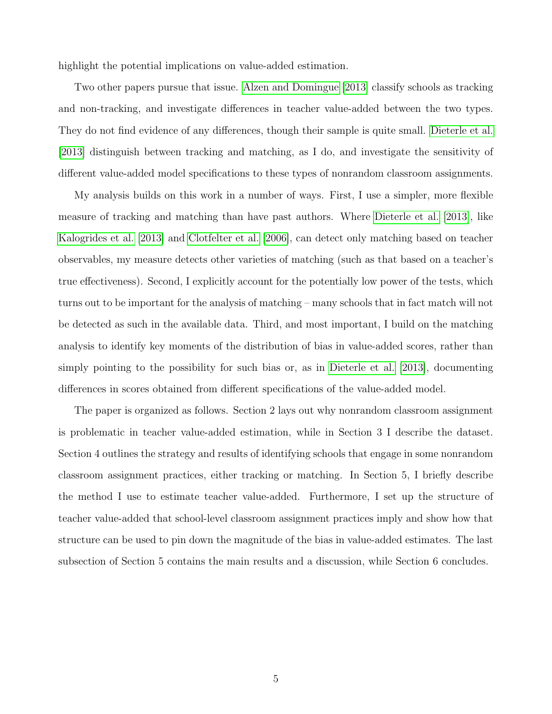highlight the potential implications on value-added estimation.

Two other papers pursue that issue. [Alzen and Domingue](#page-36-7) [\[2013\]](#page-36-7) classify schools as tracking and non-tracking, and investigate differences in teacher value-added between the two types. They do not find evidence of any differences, though their sample is quite small. [Dieterle et al.](#page-36-8) [\[2013\]](#page-36-8) distinguish between tracking and matching, as I do, and investigate the sensitivity of different value-added model specifications to these types of nonrandom classroom assignments.

My analysis builds on this work in a number of ways. First, I use a simpler, more flexible measure of tracking and matching than have past authors. Where [Dieterle et al.](#page-36-8) [\[2013\]](#page-36-8), like [Kalogrides et al.](#page-37-6) [\[2013\]](#page-37-6) and [Clotfelter et al.](#page-36-5) [\[2006\]](#page-36-5), can detect only matching based on teacher observables, my measure detects other varieties of matching (such as that based on a teacher's true effectiveness). Second, I explicitly account for the potentially low power of the tests, which turns out to be important for the analysis of matching – many schools that in fact match will not be detected as such in the available data. Third, and most important, I build on the matching analysis to identify key moments of the distribution of bias in value-added scores, rather than simply pointing to the possibility for such bias or, as in [Dieterle et al.](#page-36-8) [\[2013\]](#page-36-8), documenting differences in scores obtained from different specifications of the value-added model.

The paper is organized as follows. Section 2 lays out why nonrandom classroom assignment is problematic in teacher value-added estimation, while in Section 3 I describe the dataset. Section 4 outlines the strategy and results of identifying schools that engage in some nonrandom classroom assignment practices, either tracking or matching. In Section 5, I briefly describe the method I use to estimate teacher value-added. Furthermore, I set up the structure of teacher value-added that school-level classroom assignment practices imply and show how that structure can be used to pin down the magnitude of the bias in value-added estimates. The last subsection of Section 5 contains the main results and a discussion, while Section 6 concludes.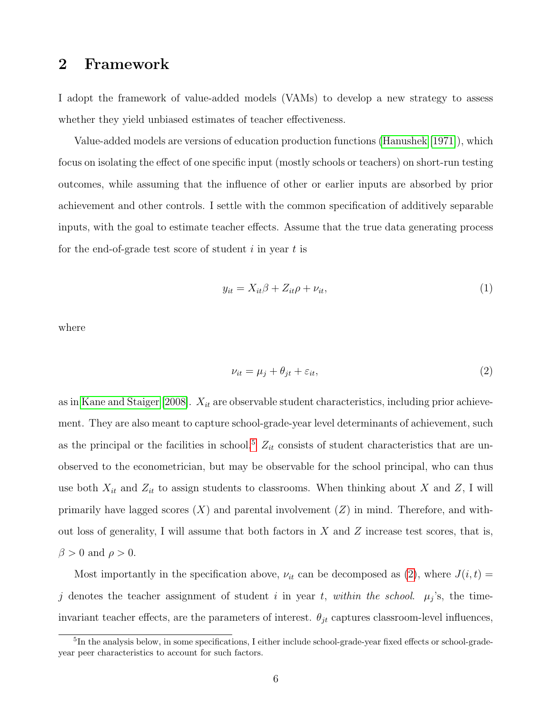## <span id="page-6-2"></span>2 Framework

I adopt the framework of value-added models (VAMs) to develop a new strategy to assess whether they yield unbiased estimates of teacher effectiveness.

Value-added models are versions of education production functions [\(Hanushek](#page-37-7) [\[1971\]](#page-37-7)), which focus on isolating the effect of one specific input (mostly schools or teachers) on short-run testing outcomes, while assuming that the influence of other or earlier inputs are absorbed by prior achievement and other controls. I settle with the common specification of additively separable inputs, with the goal to estimate teacher effects. Assume that the true data generating process for the end-of-grade test score of student  $i$  in year  $t$  is

<span id="page-6-1"></span>
$$
y_{it} = X_{it}\beta + Z_{it}\rho + \nu_{it},\tag{1}
$$

where

<span id="page-6-0"></span>
$$
\nu_{it} = \mu_j + \theta_{jt} + \varepsilon_{it},\tag{2}
$$

as in [Kane and Staiger](#page-37-5) [\[2008\]](#page-37-5).  $X_{it}$  are observable student characteristics, including prior achievement. They are also meant to capture school-grade-year level determinants of achievement, such as the principal or the facilities in school.<sup>[5](#page-0-0)</sup>  $Z_{it}$  consists of student characteristics that are unobserved to the econometrician, but may be observable for the school principal, who can thus use both  $X_{it}$  and  $Z_{it}$  to assign students to classrooms. When thinking about X and Z, I will primarily have lagged scores  $(X)$  and parental involvement  $(Z)$  in mind. Therefore, and without loss of generality, I will assume that both factors in  $X$  and  $Z$  increase test scores, that is,  $\beta > 0$  and  $\rho > 0$ .

Most importantly in the specification above,  $\nu_{it}$  can be decomposed as [\(2\)](#page-6-0), where  $J(i, t)$  = j denotes the teacher assignment of student i in year t, within the school.  $\mu_j$ 's, the timeinvariant teacher effects, are the parameters of interest.  $\theta_{jt}$  captures classroom-level influences,

<sup>5</sup> In the analysis below, in some specifications, I either include school-grade-year fixed effects or school-gradeyear peer characteristics to account for such factors.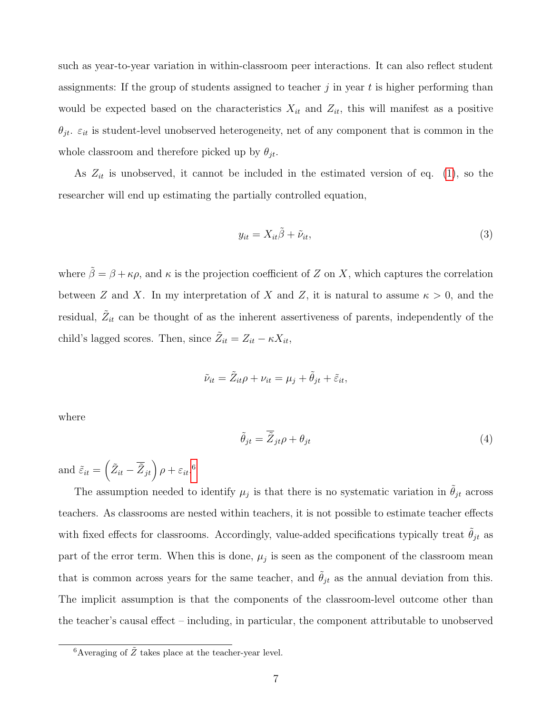such as year-to-year variation in within-classroom peer interactions. It can also reflect student assignments: If the group of students assigned to teacher  $j$  in year  $t$  is higher performing than would be expected based on the characteristics  $X_{it}$  and  $Z_{it}$ , this will manifest as a positive  $\theta_{jt}$ .  $\varepsilon_{it}$  is student-level unobserved heterogeneity, net of any component that is common in the whole classroom and therefore picked up by  $\theta_{jt}$ .

As  $Z_{it}$  is unobserved, it cannot be included in the estimated version of eq. [\(1\)](#page-6-1), so the researcher will end up estimating the partially controlled equation,

<span id="page-7-0"></span>
$$
y_{it} = X_{it}\tilde{\beta} + \tilde{\nu}_{it},\tag{3}
$$

where  $\tilde{\beta} = \beta + \kappa \rho$ , and  $\kappa$  is the projection coefficient of Z on X, which captures the correlation between Z and X. In my interpretation of X and Z, it is natural to assume  $\kappa > 0$ , and the residual,  $\tilde{Z}_{it}$  can be thought of as the inherent assertiveness of parents, independently of the child's lagged scores. Then, since  $\tilde{Z}_{it} = Z_{it} - \kappa X_{it}$ ,

$$
\tilde{\nu}_{it} = \tilde{Z}_{it}\rho + \nu_{it} = \mu_j + \tilde{\theta}_{jt} + \tilde{\varepsilon}_{it},
$$

where

<span id="page-7-1"></span>
$$
\tilde{\theta}_{jt} = \overline{\tilde{Z}}_{jt}\rho + \theta_{jt} \tag{4}
$$

and  $\tilde{\varepsilon}_{it} = \left( \tilde{Z}_{it} - \overline{\tilde{Z}}_{jt} \right) \rho + \varepsilon_{it}$ .<sup>[6](#page-0-0)</sup>

The assumption needed to identify  $\mu_j$  is that there is no systematic variation in  $\tilde{\theta}_{jt}$  across teachers. As classrooms are nested within teachers, it is not possible to estimate teacher effects with fixed effects for classrooms. Accordingly, value-added specifications typically treat  $\theta_{jt}$  as part of the error term. When this is done,  $\mu_j$  is seen as the component of the classroom mean that is common across years for the same teacher, and  $\tilde{\theta}_{jt}$  as the annual deviation from this. The implicit assumption is that the components of the classroom-level outcome other than the teacher's causal effect – including, in particular, the component attributable to unobserved

 ${}^{6}$ Averaging of  $\tilde{Z}$  takes place at the teacher-year level.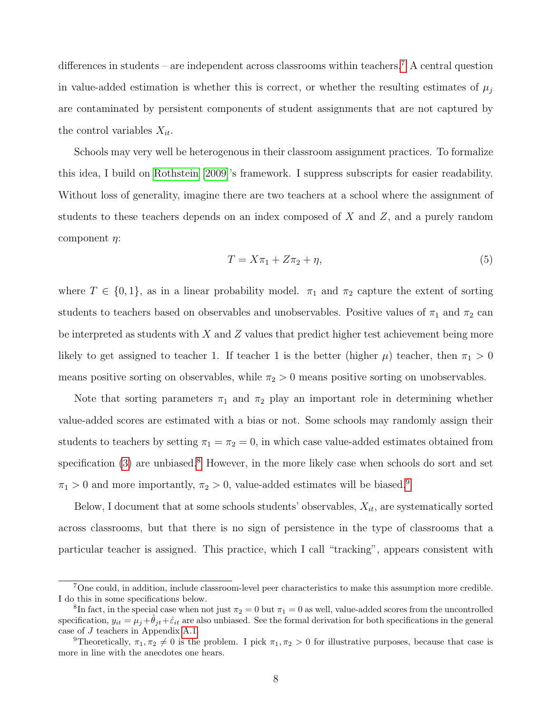differences in students – are independent across classrooms within teachers.<sup>[7](#page-0-0)</sup> A central question in value-added estimation is whether this is correct, or whether the resulting estimates of  $\mu_j$ are contaminated by persistent components of student assignments that are not captured by the control variables  $X_{it}$ .

Schools may very well be heterogenous in their classroom assignment practices. To formalize this idea, I build on [Rothstein](#page-38-4) [\[2009\]](#page-38-4)'s framework. I suppress subscripts for easier readability. Without loss of generality, imagine there are two teachers at a school where the assignment of students to these teachers depends on an index composed of  $X$  and  $Z$ , and a purely random component  $\eta$ :

<span id="page-8-0"></span>
$$
T = X\pi_1 + Z\pi_2 + \eta,\tag{5}
$$

where  $T \in \{0, 1\}$ , as in a linear probability model.  $\pi_1$  and  $\pi_2$  capture the extent of sorting students to teachers based on observables and unobservables. Positive values of  $\pi_1$  and  $\pi_2$  can be interpreted as students with  $X$  and  $Z$  values that predict higher test achievement being more likely to get assigned to teacher 1. If teacher 1 is the better (higher  $\mu$ ) teacher, then  $\pi_1 > 0$ means positive sorting on observables, while  $\pi_2 > 0$  means positive sorting on unobservables.

Note that sorting parameters  $\pi_1$  and  $\pi_2$  play an important role in determining whether value-added scores are estimated with a bias or not. Some schools may randomly assign their students to teachers by setting  $\pi_1 = \pi_2 = 0$ , in which case value-added estimates obtained from specification  $(3)$  are unbiased.<sup>[8](#page-0-0)</sup> However, in the more likely case when schools do sort and set  $\pi_1 > 0$  and more importantly,  $\pi_2 > 0$ , value-added estimates will be biased.<sup>[9](#page-0-0)</sup>

Below, I document that at some schools students' observables,  $X_{it}$ , are systematically sorted across classrooms, but that there is no sign of persistence in the type of classrooms that a particular teacher is assigned. This practice, which I call "tracking", appears consistent with

<sup>&</sup>lt;sup>7</sup>One could, in addition, include classroom-level peer characteristics to make this assumption more credible. I do this in some specifications below.

<sup>&</sup>lt;sup>8</sup>In fact, in the special case when not just  $\pi_2 = 0$  but  $\pi_1 = 0$  as well, value-added scores from the uncontrolled specification,  $y_{it} = \mu_i + \hat{\theta}_{it} + \hat{\varepsilon}_{it}$  are also unbiased. See the formal derivation for both specifications in the general case of J teachers in Appendix [A.1.](#page-58-0)

<sup>&</sup>lt;sup>9</sup>Theoretically,  $\pi_1, \pi_2 \neq 0$  is the problem. I pick  $\pi_1, \pi_2 > 0$  for illustrative purposes, because that case is more in line with the anecdotes one hears.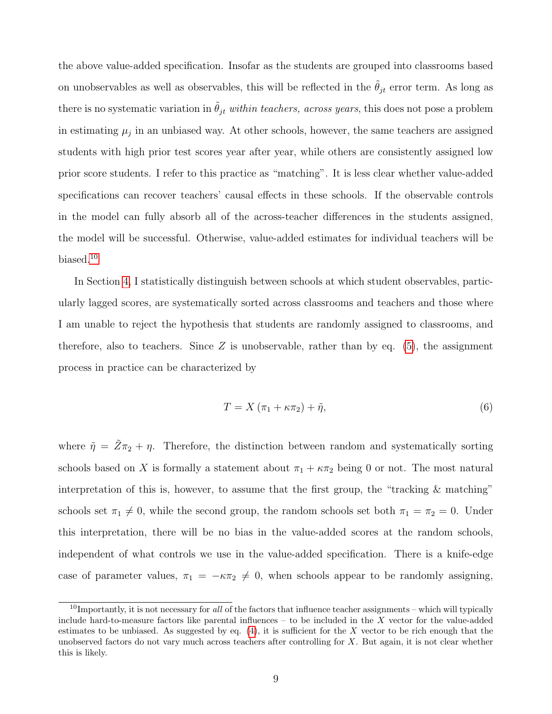the above value-added specification. Insofar as the students are grouped into classrooms based on unobservables as well as observables, this will be reflected in the  $\tilde{\theta}_{jt}$  error term. As long as there is no systematic variation in  $\tilde{\theta}_{jt}$  within teachers, across years, this does not pose a problem in estimating  $\mu_j$  in an unbiased way. At other schools, however, the same teachers are assigned students with high prior test scores year after year, while others are consistently assigned low prior score students. I refer to this practice as "matching". It is less clear whether value-added specifications can recover teachers' causal effects in these schools. If the observable controls in the model can fully absorb all of the across-teacher differences in the students assigned, the model will be successful. Otherwise, value-added estimates for individual teachers will be biased.[10](#page-0-0)

In Section [4,](#page-13-0) I statistically distinguish between schools at which student observables, particularly lagged scores, are systematically sorted across classrooms and teachers and those where I am unable to reject the hypothesis that students are randomly assigned to classrooms, and therefore, also to teachers. Since Z is unobservable, rather than by eq.  $(5)$ , the assignment process in practice can be characterized by

$$
T = X(\pi_1 + \kappa \pi_2) + \tilde{\eta},\tag{6}
$$

where  $\tilde{\eta} = \tilde{Z}\pi_2 + \eta$ . Therefore, the distinction between random and systematically sorting schools based on X is formally a statement about  $\pi_1 + \kappa \pi_2$  being 0 or not. The most natural interpretation of this is, however, to assume that the first group, the "tracking  $\&$  matching" schools set  $\pi_1 \neq 0$ , while the second group, the random schools set both  $\pi_1 = \pi_2 = 0$ . Under this interpretation, there will be no bias in the value-added scores at the random schools, independent of what controls we use in the value-added specification. There is a knife-edge case of parameter values,  $\pi_1 = -\kappa \pi_2 \neq 0$ , when schools appear to be randomly assigning,

 $10$ Importantly, it is not necessary for all of the factors that influence teacher assignments – which will typically include hard-to-measure factors like parental influences – to be included in the X vector for the value-added estimates to be unbiased. As suggested by eq.  $(4)$ , it is sufficient for the X vector to be rich enough that the unobserved factors do not vary much across teachers after controlling for X. But again, it is not clear whether this is likely.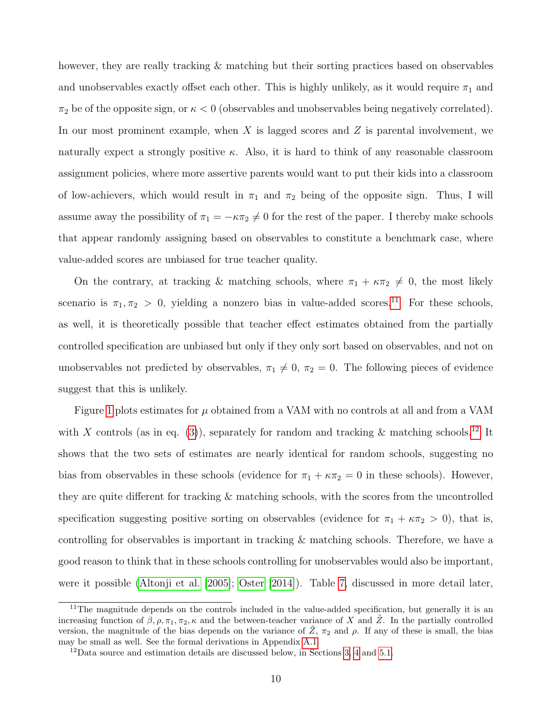however, they are really tracking & matching but their sorting practices based on observables and unobservables exactly offset each other. This is highly unlikely, as it would require  $\pi_1$  and  $\pi_2$  be of the opposite sign, or  $\kappa < 0$  (observables and unobservables being negatively correlated). In our most prominent example, when  $X$  is lagged scores and  $Z$  is parental involvement, we naturally expect a strongly positive  $\kappa$ . Also, it is hard to think of any reasonable classroom assignment policies, where more assertive parents would want to put their kids into a classroom of low-achievers, which would result in  $\pi_1$  and  $\pi_2$  being of the opposite sign. Thus, I will assume away the possibility of  $\pi_1 = -\kappa \pi_2 \neq 0$  for the rest of the paper. I thereby make schools that appear randomly assigning based on observables to constitute a benchmark case, where value-added scores are unbiased for true teacher quality.

On the contrary, at tracking & matching schools, where  $\pi_1 + \kappa \pi_2 \neq 0$ , the most likely scenario is  $\pi_1, \pi_2 > 0$ , yielding a nonzero bias in value-added scores.<sup>[11](#page-0-0)</sup> For these schools, as well, it is theoretically possible that teacher effect estimates obtained from the partially controlled specification are unbiased but only if they only sort based on observables, and not on unobservables not predicted by observables,  $\pi_1 \neq 0$ ,  $\pi_2 = 0$ . The following pieces of evidence suggest that this is unlikely.

Figure [1](#page-50-0) plots estimates for  $\mu$  obtained from a VAM with no controls at all and from a VAM with X controls (as in eq. [\(3\)](#page-7-0)), separately for random and tracking & matching schools.<sup>[12](#page-0-0)</sup> It shows that the two sets of estimates are nearly identical for random schools, suggesting no bias from observables in these schools (evidence for  $\pi_1 + \kappa \pi_2 = 0$  in these schools). However, they are quite different for tracking & matching schools, with the scores from the uncontrolled specification suggesting positive sorting on observables (evidence for  $\pi_1 + \kappa \pi_2 > 0$ ), that is, controlling for observables is important in tracking & matching schools. Therefore, we have a good reason to think that in these schools controlling for unobservables would also be important, were it possible [\(Altonji et al.](#page-36-6) [\[2005\]](#page-36-6); [Oster](#page-37-4) [\[2014\]](#page-37-4)). Table [7,](#page-44-0) discussed in more detail later,

<sup>&</sup>lt;sup>11</sup>The magnitude depends on the controls included in the value-added specification, but generally it is an increasing function of  $\beta$ ,  $\rho$ ,  $\pi_1$ ,  $\pi_2$ ,  $\kappa$  and the between-teacher variance of X and  $\tilde{Z}$ . In the partially controlled version, the magnitude of the bias depends on the variance of  $\tilde{Z}$ ,  $\pi_2$  and  $\rho$ . If any of these is small, the bias may be small as well. See the formal derivations in Appendix [A.1.](#page-58-0)

<sup>12</sup>Data source and estimation details are discussed below, in Sections [3,](#page-12-0) [4](#page-13-0) and [5.1.](#page-24-0)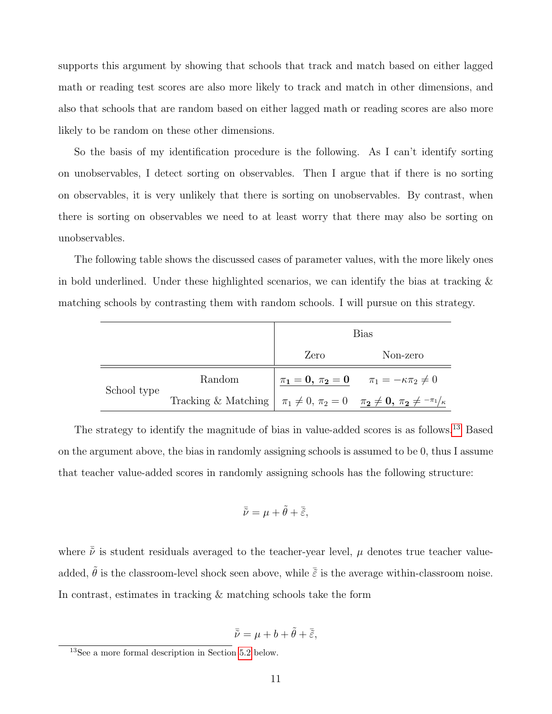supports this argument by showing that schools that track and match based on either lagged math or reading test scores are also more likely to track and match in other dimensions, and also that schools that are random based on either lagged math or reading scores are also more likely to be random on these other dimensions.

So the basis of my identification procedure is the following. As I can't identify sorting on unobservables, I detect sorting on observables. Then I argue that if there is no sorting on observables, it is very unlikely that there is sorting on unobservables. By contrast, when there is sorting on observables we need to at least worry that there may also be sorting on unobservables.

The following table shows the discussed cases of parameter values, with the more likely ones in bold underlined. Under these highlighted scenarios, we can identify the bias at tracking  $\&$ matching schools by contrasting them with random schools. I will pursue on this strategy.

|             |                                                                                             |      | <b>Bias</b>                                                  |
|-------------|---------------------------------------------------------------------------------------------|------|--------------------------------------------------------------|
|             |                                                                                             | Zero | Non-zero                                                     |
|             | Random                                                                                      |      | $\pi_1 = 0, \ \pi_2 = 0 \qquad \pi_1 = -\kappa \pi_2 \neq 0$ |
| School type | Tracking & Matching $\pi_1 \neq 0$ , $\pi_2 = 0$ $\pi_2 \neq 0$ , $\pi_2 \neq \pi_1/\kappa$ |      |                                                              |

The strategy to identify the magnitude of bias in value-added scores is as follows.[13](#page-0-0) Based on the argument above, the bias in randomly assigning schools is assumed to be 0, thus I assume that teacher value-added scores in randomly assigning schools has the following structure:

$$
\bar{\tilde{\nu}} = \mu + \tilde{\theta} + \bar{\tilde{\varepsilon}},
$$

where  $\bar{\tilde{\nu}}$  is student residuals averaged to the teacher-year level,  $\mu$  denotes true teacher valueadded,  $\tilde{\theta}$  is the classroom-level shock seen above, while  $\tilde{\tilde{\varepsilon}}$  is the average within-classroom noise. In contrast, estimates in tracking & matching schools take the form

$$
\bar{\tilde{\nu}} = \mu + b + \tilde{\theta} + \bar{\tilde{\varepsilon}},
$$

 $13$ See a more formal description in Section [5.2](#page-25-0) below.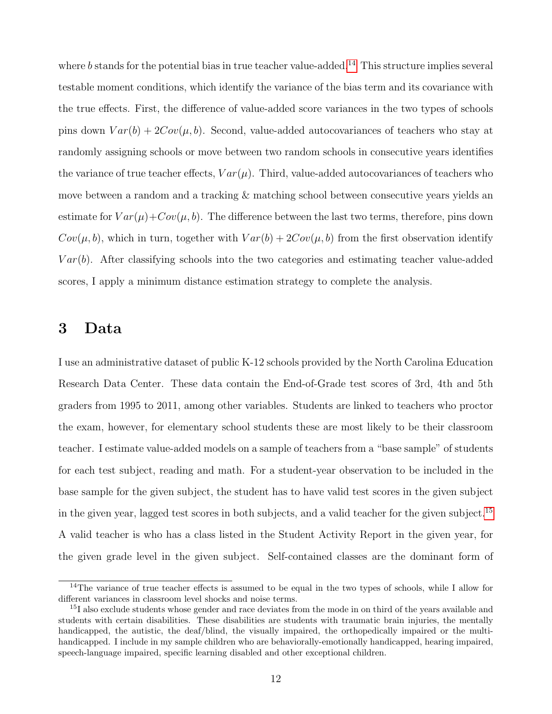where b stands for the potential bias in true teacher value-added.<sup>[14](#page-0-0)</sup> This structure implies several testable moment conditions, which identify the variance of the bias term and its covariance with the true effects. First, the difference of value-added score variances in the two types of schools pins down  $Var(b) + 2Cov(\mu, b)$ . Second, value-added autocovariances of teachers who stay at randomly assigning schools or move between two random schools in consecutive years identifies the variance of true teacher effects,  $Var(\mu)$ . Third, value-added autocovariances of teachers who move between a random and a tracking & matching school between consecutive years yields an estimate for  $Var(\mu)+Cov(\mu, b)$ . The difference between the last two terms, therefore, pins down  $Cov(\mu, b)$ , which in turn, together with  $Var(b) + 2Cov(\mu, b)$  from the first observation identify  $Var(b)$ . After classifying schools into the two categories and estimating teacher value-added scores, I apply a minimum distance estimation strategy to complete the analysis.

# <span id="page-12-0"></span>3 Data

I use an administrative dataset of public K-12 schools provided by the North Carolina Education Research Data Center. These data contain the End-of-Grade test scores of 3rd, 4th and 5th graders from 1995 to 2011, among other variables. Students are linked to teachers who proctor the exam, however, for elementary school students these are most likely to be their classroom teacher. I estimate value-added models on a sample of teachers from a "base sample" of students for each test subject, reading and math. For a student-year observation to be included in the base sample for the given subject, the student has to have valid test scores in the given subject in the given year, lagged test scores in both subjects, and a valid teacher for the given subject.[15](#page-0-0) A valid teacher is who has a class listed in the Student Activity Report in the given year, for the given grade level in the given subject. Self-contained classes are the dominant form of

 $14$ The variance of true teacher effects is assumed to be equal in the two types of schools, while I allow for different variances in classroom level shocks and noise terms.

<sup>&</sup>lt;sup>15</sup>I also exclude students whose gender and race deviates from the mode in on third of the years available and students with certain disabilities. These disabilities are students with traumatic brain injuries, the mentally handicapped, the autistic, the deaf/blind, the visually impaired, the orthopedically impaired or the multihandicapped. I include in my sample children who are behaviorally-emotionally handicapped, hearing impaired, speech-language impaired, specific learning disabled and other exceptional children.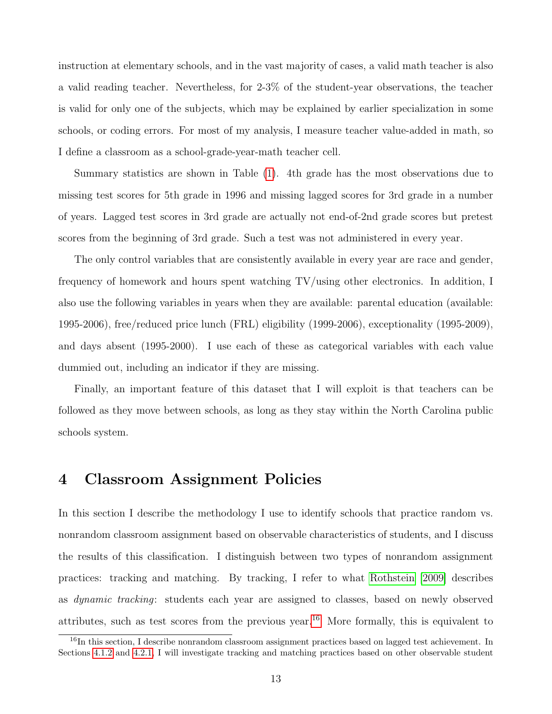<span id="page-13-1"></span>instruction at elementary schools, and in the vast majority of cases, a valid math teacher is also a valid reading teacher. Nevertheless, for 2-3% of the student-year observations, the teacher is valid for only one of the subjects, which may be explained by earlier specialization in some schools, or coding errors. For most of my analysis, I measure teacher value-added in math, so I define a classroom as a school-grade-year-math teacher cell.

Summary statistics are shown in Table [\(1\)](#page-39-0). 4th grade has the most observations due to missing test scores for 5th grade in 1996 and missing lagged scores for 3rd grade in a number of years. Lagged test scores in 3rd grade are actually not end-of-2nd grade scores but pretest scores from the beginning of 3rd grade. Such a test was not administered in every year.

The only control variables that are consistently available in every year are race and gender, frequency of homework and hours spent watching TV/using other electronics. In addition, I also use the following variables in years when they are available: parental education (available: 1995-2006), free/reduced price lunch (FRL) eligibility (1999-2006), exceptionality (1995-2009), and days absent (1995-2000). I use each of these as categorical variables with each value dummied out, including an indicator if they are missing.

Finally, an important feature of this dataset that I will exploit is that teachers can be followed as they move between schools, as long as they stay within the North Carolina public schools system.

### <span id="page-13-0"></span>4 Classroom Assignment Policies

In this section I describe the methodology I use to identify schools that practice random vs. nonrandom classroom assignment based on observable characteristics of students, and I discuss the results of this classification. I distinguish between two types of nonrandom assignment practices: tracking and matching. By tracking, I refer to what [Rothstein](#page-38-4) [\[2009\]](#page-38-4) describes as *dynamic tracking*: students each year are assigned to classes, based on newly observed attributes, such as test scores from the previous year.<sup>[16](#page-0-0)</sup> More formally, this is equivalent to

<sup>&</sup>lt;sup>16</sup>In this section, I describe nonrandom classroom assignment practices based on lagged test achievement. In Sections [4.1.2](#page-17-0) and [4.2.1,](#page-20-0) I will investigate tracking and matching practices based on other observable student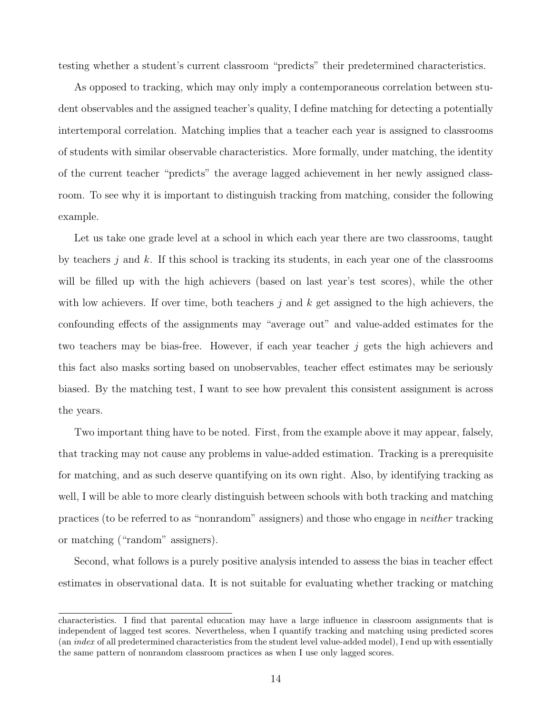testing whether a student's current classroom "predicts" their predetermined characteristics.

As opposed to tracking, which may only imply a contemporaneous correlation between student observables and the assigned teacher's quality, I define matching for detecting a potentially intertemporal correlation. Matching implies that a teacher each year is assigned to classrooms of students with similar observable characteristics. More formally, under matching, the identity of the current teacher "predicts" the average lagged achievement in her newly assigned classroom. To see why it is important to distinguish tracking from matching, consider the following example.

Let us take one grade level at a school in which each year there are two classrooms, taught by teachers j and  $k$ . If this school is tracking its students, in each year one of the classrooms will be filled up with the high achievers (based on last year's test scores), while the other with low achievers. If over time, both teachers  $j$  and  $k$  get assigned to the high achievers, the confounding effects of the assignments may "average out" and value-added estimates for the two teachers may be bias-free. However, if each year teacher j gets the high achievers and this fact also masks sorting based on unobservables, teacher effect estimates may be seriously biased. By the matching test, I want to see how prevalent this consistent assignment is across the years.

Two important thing have to be noted. First, from the example above it may appear, falsely, that tracking may not cause any problems in value-added estimation. Tracking is a prerequisite for matching, and as such deserve quantifying on its own right. Also, by identifying tracking as well, I will be able to more clearly distinguish between schools with both tracking and matching practices (to be referred to as "nonrandom" assigners) and those who engage in neither tracking or matching ("random" assigners).

Second, what follows is a purely positive analysis intended to assess the bias in teacher effect estimates in observational data. It is not suitable for evaluating whether tracking or matching

characteristics. I find that parental education may have a large influence in classroom assignments that is independent of lagged test scores. Nevertheless, when I quantify tracking and matching using predicted scores (an index of all predetermined characteristics from the student level value-added model), I end up with essentially the same pattern of nonrandom classroom practices as when I use only lagged scores.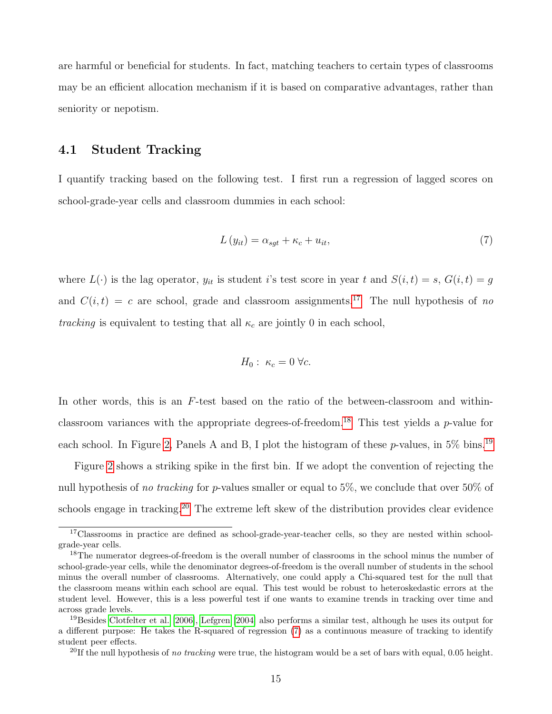are harmful or beneficial for students. In fact, matching teachers to certain types of classrooms may be an efficient allocation mechanism if it is based on comparative advantages, rather than seniority or nepotism.

### <span id="page-15-1"></span>4.1 Student Tracking

I quantify tracking based on the following test. I first run a regression of lagged scores on school-grade-year cells and classroom dummies in each school:

<span id="page-15-0"></span>
$$
L(y_{it}) = \alpha_{sgt} + \kappa_c + u_{it},\tag{7}
$$

where  $L(\cdot)$  is the lag operator,  $y_{it}$  is student i's test score in year t and  $S(i, t) = s$ ,  $G(i, t) = g$ and  $C(i, t) = c$  are school, grade and classroom assignments.<sup>[17](#page-0-0)</sup> The null hypothesis of no tracking is equivalent to testing that all  $\kappa_c$  are jointly 0 in each school,

$$
H_0: \ \kappa_c=0 \ \forall c.
$$

In other words, this is an F-test based on the ratio of the between-classroom and within-classroom variances with the appropriate degrees-of-freedom.<sup>[18](#page-0-0)</sup> This test yields a  $p$ -value for each school. In Figure [2,](#page-51-0) Panels A and B, I plot the histogram of these p-values, in 5% bins.<sup>[19](#page-0-0)</sup>

Figure [2](#page-51-0) shows a striking spike in the first bin. If we adopt the convention of rejecting the null hypothesis of no tracking for p-values smaller or equal to 5%, we conclude that over 50% of schools engage in tracking.<sup>[20](#page-0-0)</sup> The extreme left skew of the distribution provides clear evidence

 $17$ Classrooms in practice are defined as school-grade-year-teacher cells, so they are nested within schoolgrade-year cells.

<sup>&</sup>lt;sup>18</sup>The numerator degrees-of-freedom is the overall number of classrooms in the school minus the number of school-grade-year cells, while the denominator degrees-of-freedom is the overall number of students in the school minus the overall number of classrooms. Alternatively, one could apply a Chi-squared test for the null that the classroom means within each school are equal. This test would be robust to heteroskedastic errors at the student level. However, this is a less powerful test if one wants to examine trends in tracking over time and across grade levels.

<sup>&</sup>lt;sup>19</sup>Besides [Clotfelter et al.](#page-36-5) [\[2006\]](#page-36-5), [Lefgren](#page-37-8) [\[2004\]](#page-37-8) also performs a similar test, although he uses its output for a different purpose: He takes the R-squared of regression [\(7\)](#page-15-0) as a continuous measure of tracking to identify student peer effects.

 $^{20}$ If the null hypothesis of no tracking were true, the histogram would be a set of bars with equal, 0.05 height.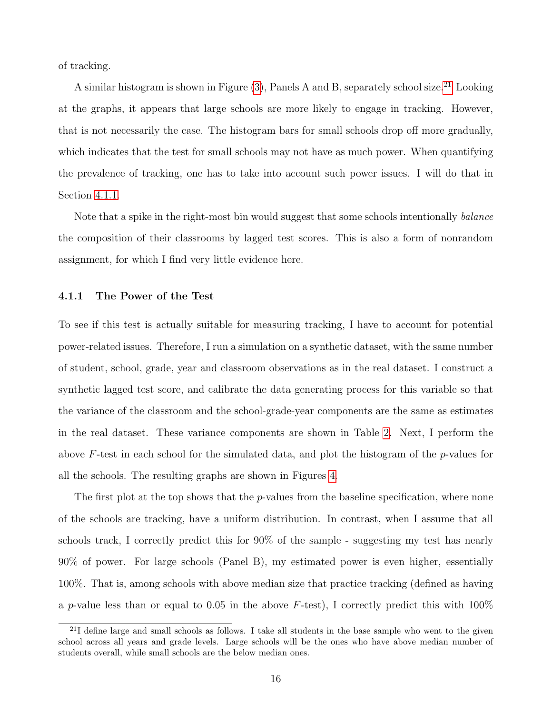<span id="page-16-1"></span>of tracking.

A similar histogram is shown in Figure  $(3)$ , Panels A and B, separately school size.<sup>[21](#page-0-0)</sup> Looking at the graphs, it appears that large schools are more likely to engage in tracking. However, that is not necessarily the case. The histogram bars for small schools drop off more gradually, which indicates that the test for small schools may not have as much power. When quantifying the prevalence of tracking, one has to take into account such power issues. I will do that in Section [4.1.1.](#page-16-0)

Note that a spike in the right-most bin would suggest that some schools intentionally *balance* the composition of their classrooms by lagged test scores. This is also a form of nonrandom assignment, for which I find very little evidence here.

#### <span id="page-16-0"></span>4.1.1 The Power of the Test

To see if this test is actually suitable for measuring tracking, I have to account for potential power-related issues. Therefore, I run a simulation on a synthetic dataset, with the same number of student, school, grade, year and classroom observations as in the real dataset. I construct a synthetic lagged test score, and calibrate the data generating process for this variable so that the variance of the classroom and the school-grade-year components are the same as estimates in the real dataset. These variance components are shown in Table [2.](#page-40-0) Next, I perform the above F-test in each school for the simulated data, and plot the histogram of the p-values for all the schools. The resulting graphs are shown in Figures [4.](#page-53-0)

The first plot at the top shows that the *p*-values from the baseline specification, where none of the schools are tracking, have a uniform distribution. In contrast, when I assume that all schools track, I correctly predict this for 90% of the sample - suggesting my test has nearly 90% of power. For large schools (Panel B), my estimated power is even higher, essentially 100%. That is, among schools with above median size that practice tracking (defined as having a p-value less than or equal to 0.05 in the above  $F$ -test), I correctly predict this with 100%

<sup>&</sup>lt;sup>21</sup>I define large and small schools as follows. I take all students in the base sample who went to the given school across all years and grade levels. Large schools will be the ones who have above median number of students overall, while small schools are the below median ones.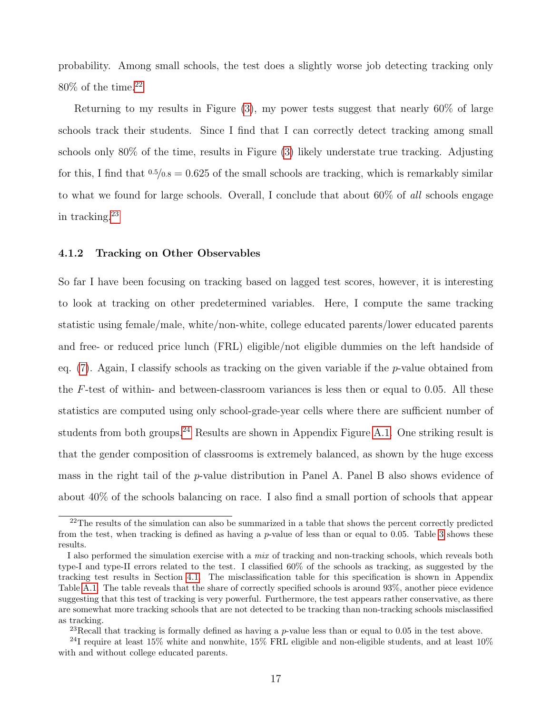probability. Among small schools, the test does a slightly worse job detecting tracking only  $80\%$  of the time.<sup>[22](#page-0-0)</sup>

Returning to my results in Figure [\(3\)](#page-52-0), my power tests suggest that nearly 60% of large schools track their students. Since I find that I can correctly detect tracking among small schools only 80% of the time, results in Figure [\(3\)](#page-52-0) likely understate true tracking. Adjusting for this, I find that  $0.5/0.8 = 0.625$  of the small schools are tracking, which is remarkably similar to what we found for large schools. Overall, I conclude that about 60% of all schools engage in tracking.[23](#page-0-0)

#### <span id="page-17-0"></span>4.1.2 Tracking on Other Observables

So far I have been focusing on tracking based on lagged test scores, however, it is interesting to look at tracking on other predetermined variables. Here, I compute the same tracking statistic using female/male, white/non-white, college educated parents/lower educated parents and free- or reduced price lunch (FRL) eligible/not eligible dummies on the left handside of eq.  $(7)$ . Again, I classify schools as tracking on the given variable if the p-value obtained from the F-test of within- and between-classroom variances is less then or equal to 0.05. All these statistics are computed using only school-grade-year cells where there are sufficient number of students from both groups.<sup>[24](#page-0-0)</sup> Results are shown in Appendix Figure [A.1.](#page-50-0) One striking result is that the gender composition of classrooms is extremely balanced, as shown by the huge excess mass in the right tail of the p-value distribution in Panel A. Panel B also shows evidence of about 40% of the schools balancing on race. I also find a small portion of schools that appear

 $22$ The results of the simulation can also be summarized in a table that shows the percent correctly predicted from the test, when tracking is defined as having a p-value of less than or equal to 0.05. Table [3](#page-40-1) shows these results.

I also performed the simulation exercise with a mix of tracking and non-tracking schools, which reveals both type-I and type-II errors related to the test. I classified 60% of the schools as tracking, as suggested by the tracking test results in Section [4.1.](#page-15-1) The misclassification table for this specification is shown in Appendix Table [A.1.](#page-39-0) The table reveals that the share of correctly specified schools is around 93%, another piece evidence suggesting that this test of tracking is very powerful. Furthermore, the test appears rather conservative, as there are somewhat more tracking schools that are not detected to be tracking than non-tracking schools misclassified as tracking.

<sup>&</sup>lt;sup>23</sup>Recall that tracking is formally defined as having a  $p$ -value less than or equal to 0.05 in the test above.

<sup>&</sup>lt;sup>24</sup>I require at least 15% white and nonwhite, 15% FRL eligible and non-eligible students, and at least 10% with and without college educated parents.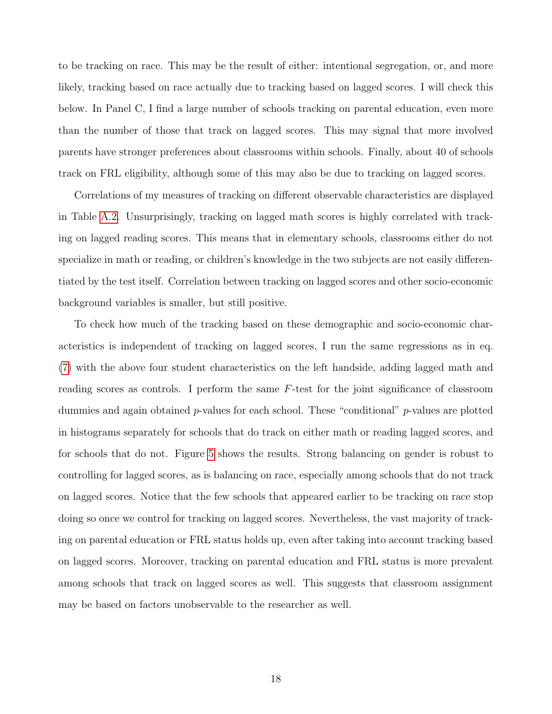to be tracking on race. This may be the result of either: intentional segregation, or, and more likely, tracking based on race actually due to tracking based on lagged scores. I will check this below. In Panel C, I find a large number of schools tracking on parental education, even more than the number of those that track on lagged scores. This may signal that more involved parents have stronger preferences about classrooms within schools. Finally, about 40 of schools track on FRL eligibility, although some of this may also be due to tracking on lagged scores.

Correlations of my measures of tracking on different observable characteristics are displayed in Table [A.2.](#page-40-0) Unsurprisingly, tracking on lagged math scores is highly correlated with tracking on lagged reading scores. This means that in elementary schools, classrooms either do not specialize in math or reading, or children's knowledge in the two subjects are not easily differentiated by the test itself. Correlation between tracking on lagged scores and other socio-economic background variables is smaller, but still positive.

To check how much of the tracking based on these demographic and socio-economic characteristics is independent of tracking on lagged scores, I run the same regressions as in eq. [\(7\)](#page-15-0) with the above four student characteristics on the left handside, adding lagged math and reading scores as controls. I perform the same  $F$ -test for the joint significance of classroom dummies and again obtained p-values for each school. These "conditional" p-values are plotted in histograms separately for schools that do track on either math or reading lagged scores, and for schools that do not. Figure [5](#page-54-0) shows the results. Strong balancing on gender is robust to controlling for lagged scores, as is balancing on race, especially among schools that do not track on lagged scores. Notice that the few schools that appeared earlier to be tracking on race stop doing so once we control for tracking on lagged scores. Nevertheless, the vast majority of tracking on parental education or FRL status holds up, even after taking into account tracking based on lagged scores. Moreover, tracking on parental education and FRL status is more prevalent among schools that track on lagged scores as well. This suggests that classroom assignment may be based on factors unobservable to the researcher as well.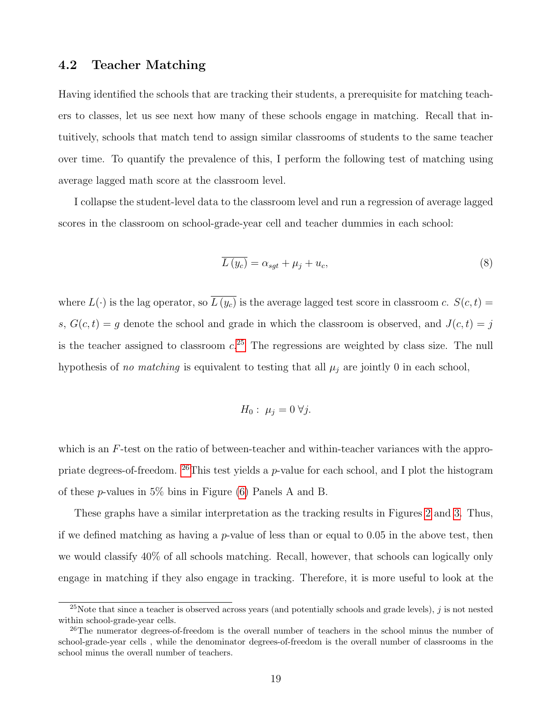### <span id="page-19-1"></span>4.2 Teacher Matching

Having identified the schools that are tracking their students, a prerequisite for matching teachers to classes, let us see next how many of these schools engage in matching. Recall that intuitively, schools that match tend to assign similar classrooms of students to the same teacher over time. To quantify the prevalence of this, I perform the following test of matching using average lagged math score at the classroom level.

I collapse the student-level data to the classroom level and run a regression of average lagged scores in the classroom on school-grade-year cell and teacher dummies in each school:

<span id="page-19-0"></span>
$$
\overline{L(y_c)} = \alpha_{sgt} + \mu_j + u_c,\tag{8}
$$

where  $L(\cdot)$  is the lag operator, so  $\overline{L(y_c)}$  is the average lagged test score in classroom c.  $S(c, t)$  = s,  $G(c, t) = g$  denote the school and grade in which the classroom is observed, and  $J(c, t) = j$ is the teacher assigned to classroom  $c^{25}$  $c^{25}$  $c^{25}$ . The regressions are weighted by class size. The null hypothesis of no matching is equivalent to testing that all  $\mu_j$  are jointly 0 in each school,

$$
H_0: \mu_j = 0 \,\forall j.
$$

which is an F-test on the ratio of between-teacher and within-teacher variances with the appropriate degrees-of-freedom.  $^{26}$  $^{26}$  $^{26}$ This test yields a p-value for each school, and I plot the histogram of these p-values in 5% bins in Figure [\(6\)](#page-55-0) Panels A and B.

These graphs have a similar interpretation as the tracking results in Figures [2](#page-51-0) and [3.](#page-52-0) Thus, if we defined matching as having a  $p$ -value of less than or equal to 0.05 in the above test, then we would classify 40% of all schools matching. Recall, however, that schools can logically only engage in matching if they also engage in tracking. Therefore, it is more useful to look at the

<sup>&</sup>lt;sup>25</sup>Note that since a teacher is observed across years (and potentially schools and grade levels),  $j$  is not nested within school-grade-year cells.

<sup>&</sup>lt;sup>26</sup>The numerator degrees-of-freedom is the overall number of teachers in the school minus the number of school-grade-year cells , while the denominator degrees-of-freedom is the overall number of classrooms in the school minus the overall number of teachers.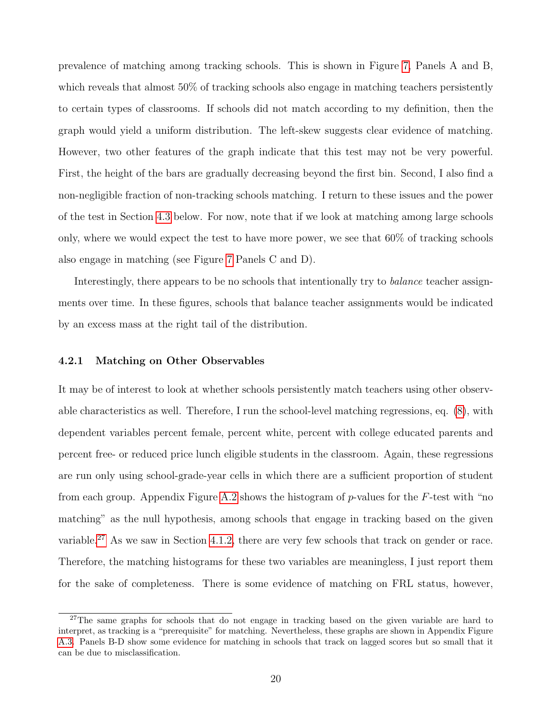prevalence of matching among tracking schools. This is shown in Figure [7,](#page-56-0) Panels A and B, which reveals that almost 50% of tracking schools also engage in matching teachers persistently to certain types of classrooms. If schools did not match according to my definition, then the graph would yield a uniform distribution. The left-skew suggests clear evidence of matching. However, two other features of the graph indicate that this test may not be very powerful. First, the height of the bars are gradually decreasing beyond the first bin. Second, I also find a non-negligible fraction of non-tracking schools matching. I return to these issues and the power of the test in Section [4.3](#page-21-0) below. For now, note that if we look at matching among large schools only, where we would expect the test to have more power, we see that 60% of tracking schools also engage in matching (see Figure [7](#page-56-0) Panels C and D).

Interestingly, there appears to be no schools that intentionally try to *balance* teacher assignments over time. In these figures, schools that balance teacher assignments would be indicated by an excess mass at the right tail of the distribution.

#### <span id="page-20-0"></span>4.2.1 Matching on Other Observables

It may be of interest to look at whether schools persistently match teachers using other observable characteristics as well. Therefore, I run the school-level matching regressions, eq. [\(8\)](#page-19-0), with dependent variables percent female, percent white, percent with college educated parents and percent free- or reduced price lunch eligible students in the classroom. Again, these regressions are run only using school-grade-year cells in which there are a sufficient proportion of student from each group. Appendix Figure [A.2](#page-51-0) shows the histogram of p-values for the F-test with "no matching" as the null hypothesis, among schools that engage in tracking based on the given variable.<sup>[27](#page-0-0)</sup> As we saw in Section [4.1.2,](#page-17-0) there are very few schools that track on gender or race. Therefore, the matching histograms for these two variables are meaningless, I just report them for the sake of completeness. There is some evidence of matching on FRL status, however,

<sup>&</sup>lt;sup>27</sup>The same graphs for schools that do not engage in tracking based on the given variable are hard to interpret, as tracking is a "prerequisite" for matching. Nevertheless, these graphs are shown in Appendix Figure [A.3.](#page-52-0) Panels B-D show some evidence for matching in schools that track on lagged scores but so small that it can be due to misclassification.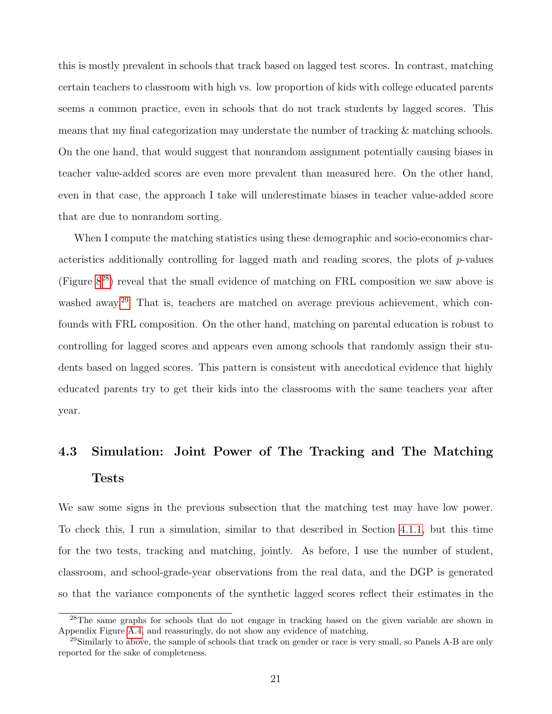<span id="page-21-1"></span>this is mostly prevalent in schools that track based on lagged test scores. In contrast, matching certain teachers to classroom with high vs. low proportion of kids with college educated parents seems a common practice, even in schools that do not track students by lagged scores. This means that my final categorization may understate the number of tracking & matching schools. On the one hand, that would suggest that nonrandom assignment potentially causing biases in teacher value-added scores are even more prevalent than measured here. On the other hand, even in that case, the approach I take will underestimate biases in teacher value-added score that are due to nonrandom sorting.

When I compute the matching statistics using these demographic and socio-economics characteristics additionally controlling for lagged math and reading scores, the plots of  $p$ -values (Figure [8](#page-57-0)[28](#page-0-0)) reveal that the small evidence of matching on FRL composition we saw above is washed away.<sup>[29](#page-0-0)</sup> That is, teachers are matched on average previous achievement, which confounds with FRL composition. On the other hand, matching on parental education is robust to controlling for lagged scores and appears even among schools that randomly assign their students based on lagged scores. This pattern is consistent with anecdotical evidence that highly educated parents try to get their kids into the classrooms with the same teachers year after year.

# <span id="page-21-0"></span>4.3 Simulation: Joint Power of The Tracking and The Matching Tests

We saw some signs in the previous subsection that the matching test may have low power. To check this, I run a simulation, similar to that described in Section [4.1.1,](#page-16-0) but this time for the two tests, tracking and matching, jointly. As before, I use the number of student, classroom, and school-grade-year observations from the real data, and the DGP is generated so that the variance components of the synthetic lagged scores reflect their estimates in the

<sup>&</sup>lt;sup>28</sup>The same graphs for schools that do not engage in tracking based on the given variable are shown in Appendix Figure [A.4,](#page-53-0) and reassuringly, do not show any evidence of matching.

 $^{29}$ Similarly to above, the sample of schools that track on gender or race is very small, so Panels A-B are only reported for the sake of completeness.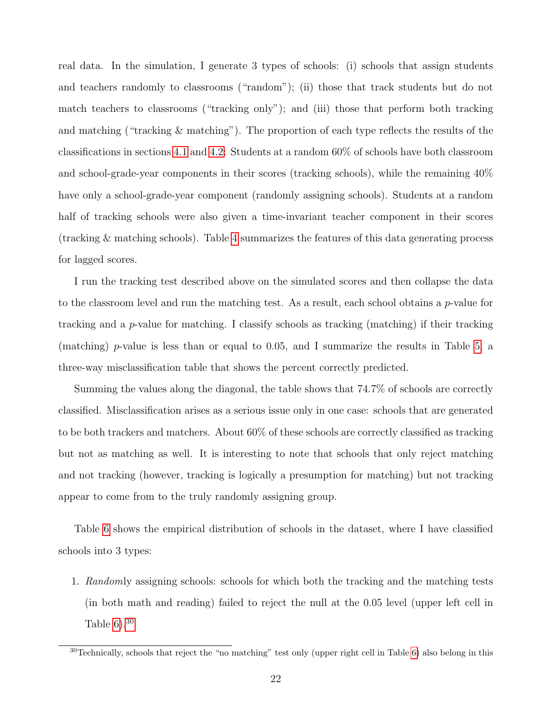real data. In the simulation, I generate 3 types of schools: (i) schools that assign students and teachers randomly to classrooms ("random"); (ii) those that track students but do not match teachers to classrooms ("tracking only"); and (iii) those that perform both tracking and matching ("tracking & matching"). The proportion of each type reflects the results of the classifications in sections [4.1](#page-15-1) and [4.2:](#page-19-1) Students at a random 60% of schools have both classroom and school-grade-year components in their scores (tracking schools), while the remaining 40% have only a school-grade-year component (randomly assigning schools). Students at a random half of tracking schools were also given a time-invariant teacher component in their scores (tracking & matching schools). Table [4](#page-41-0) summarizes the features of this data generating process for lagged scores.

I run the tracking test described above on the simulated scores and then collapse the data to the classroom level and run the matching test. As a result, each school obtains a  $p$ -value for tracking and a *p*-value for matching. I classify schools as tracking (matching) if their tracking (matching) p-value is less than or equal to 0.05, and I summarize the results in Table [5,](#page-42-0) a three-way misclassification table that shows the percent correctly predicted.

Summing the values along the diagonal, the table shows that 74.7% of schools are correctly classified. Misclassification arises as a serious issue only in one case: schools that are generated to be both trackers and matchers. About 60% of these schools are correctly classified as tracking but not as matching as well. It is interesting to note that schools that only reject matching and not tracking (however, tracking is logically a presumption for matching) but not tracking appear to come from to the truly randomly assigning group.

Table [6](#page-43-0) shows the empirical distribution of schools in the dataset, where I have classified schools into 3 types:

1. Randomly assigning schools: schools for which both the tracking and the matching tests (in both math and reading) failed to reject the null at the 0.05 level (upper left cell in Table  $6$ ).<sup>[30](#page-0-0)</sup>

<sup>30</sup>Technically, schools that reject the "no matching" test only (upper right cell in Table [6\)](#page-43-0) also belong in this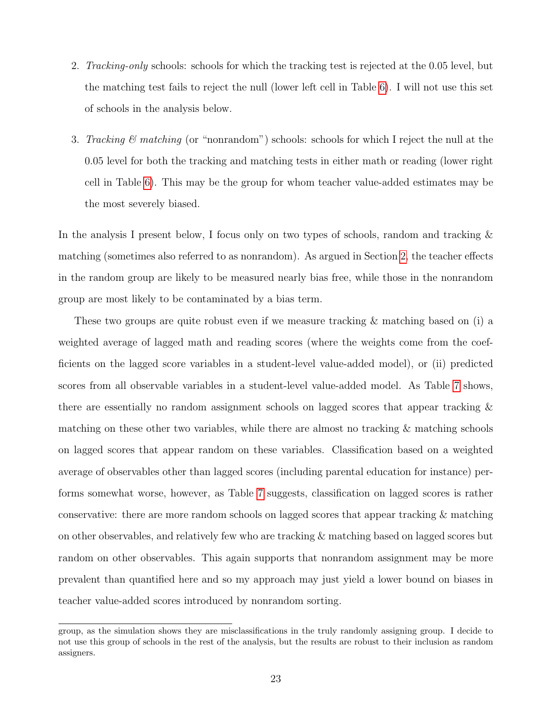- 2. *Tracking-only* schools: schools for which the tracking test is rejected at the 0.05 level, but the matching test fails to reject the null (lower left cell in Table [6\)](#page-43-0). I will not use this set of schools in the analysis below.
- 3. Tracking  $\mathcal{C}$  matching (or "nonrandom") schools: schools for which I reject the null at the 0.05 level for both the tracking and matching tests in either math or reading (lower right cell in Table [6\)](#page-43-0). This may be the group for whom teacher value-added estimates may be the most severely biased.

In the analysis I present below, I focus only on two types of schools, random and tracking & matching (sometimes also referred to as nonrandom). As argued in Section [2,](#page-6-2) the teacher effects in the random group are likely to be measured nearly bias free, while those in the nonrandom group are most likely to be contaminated by a bias term.

These two groups are quite robust even if we measure tracking & matching based on (i) a weighted average of lagged math and reading scores (where the weights come from the coefficients on the lagged score variables in a student-level value-added model), or (ii) predicted scores from all observable variables in a student-level value-added model. As Table [7](#page-44-0) shows, there are essentially no random assignment schools on lagged scores that appear tracking & matching on these other two variables, while there are almost no tracking  $\&$  matching schools on lagged scores that appear random on these variables. Classification based on a weighted average of observables other than lagged scores (including parental education for instance) performs somewhat worse, however, as Table [7](#page-44-0) suggests, classification on lagged scores is rather conservative: there are more random schools on lagged scores that appear tracking & matching on other observables, and relatively few who are tracking & matching based on lagged scores but random on other observables. This again supports that nonrandom assignment may be more prevalent than quantified here and so my approach may just yield a lower bound on biases in teacher value-added scores introduced by nonrandom sorting.

group, as the simulation shows they are misclassifications in the truly randomly assigning group. I decide to not use this group of schools in the rest of the analysis, but the results are robust to their inclusion as random assigners.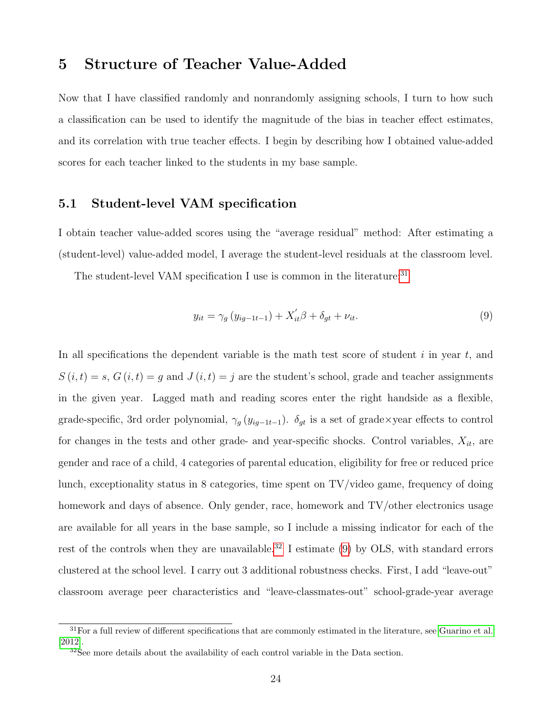# 5 Structure of Teacher Value-Added

Now that I have classified randomly and nonrandomly assigning schools, I turn to how such a classification can be used to identify the magnitude of the bias in teacher effect estimates, and its correlation with true teacher effects. I begin by describing how I obtained value-added scores for each teacher linked to the students in my base sample.

### <span id="page-24-0"></span>5.1 Student-level VAM specification

I obtain teacher value-added scores using the "average residual" method: After estimating a (student-level) value-added model, I average the student-level residuals at the classroom level.

The student-level VAM specification I use is common in the literature.<sup>[31](#page-0-0)</sup>

<span id="page-24-2"></span><span id="page-24-1"></span>
$$
y_{it} = \gamma_g \left( y_{ig-1t-1} \right) + X_{it}' \beta + \delta_{gt} + \nu_{it}. \tag{9}
$$

In all specifications the dependent variable is the math test score of student  $i$  in year  $t$ , and  $S(i, t) = s$ ,  $G(i, t) = g$  and  $J(i, t) = j$  are the student's school, grade and teacher assignments in the given year. Lagged math and reading scores enter the right handside as a flexible, grade-specific, 3rd order polynomial,  $\gamma_g(y_{ig-1:t-1})$ .  $\delta_{gt}$  is a set of grade×year effects to control for changes in the tests and other grade- and year-specific shocks. Control variables,  $X_{it}$ , are gender and race of a child, 4 categories of parental education, eligibility for free or reduced price lunch, exceptionality status in 8 categories, time spent on TV/video game, frequency of doing homework and days of absence. Only gender, race, homework and TV/other electronics usage are available for all years in the base sample, so I include a missing indicator for each of the rest of the controls when they are unavailable.<sup>[32](#page-0-0)</sup> I estimate [\(9\)](#page-24-1) by OLS, with standard errors clustered at the school level. I carry out 3 additional robustness checks. First, I add "leave-out" classroom average peer characteristics and "leave-classmates-out" school-grade-year average

 $31$  For a full review of different specifications that are commonly estimated in the literature, see [Guarino et al.](#page-36-9) [\[2012\]](#page-36-9).

 $32$ See more details about the availability of each control variable in the Data section.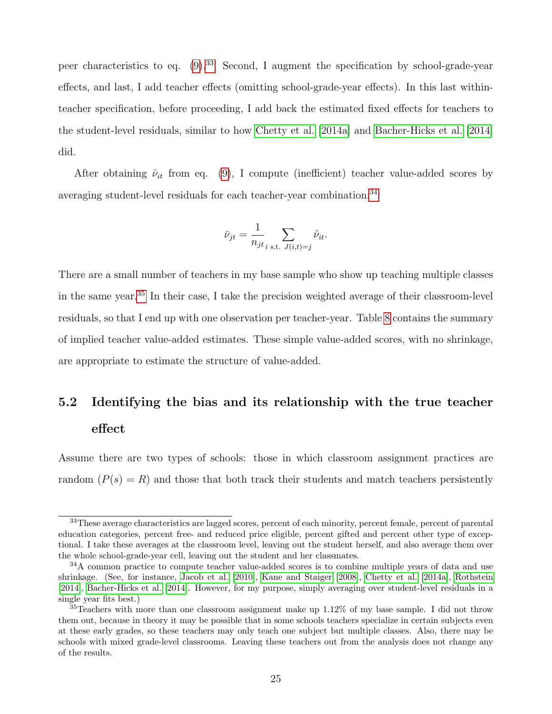peer characteristics to eq.  $(9)^{33}$  $(9)^{33}$  $(9)^{33}$  $(9)^{33}$  Second, I augment the specification by school-grade-year effects, and last, I add teacher effects (omitting school-grade-year effects). In this last withinteacher specification, before proceeding, I add back the estimated fixed effects for teachers to the student-level residuals, similar to how [Chetty et al.](#page-36-3) [\[2014a\]](#page-36-3) and [Bacher-Hicks et al.](#page-36-4) [\[2014\]](#page-36-4) did.

After obtaining  $\hat{\nu}_{it}$  from eq. [\(9\)](#page-24-1), I compute (inefficient) teacher value-added scores by averaging student-level residuals for each teacher-year combination:<sup>[34](#page-0-0)</sup>

$$
\bar{\nu}_{jt} = \frac{1}{n_{jt}} \sum_{i \text{ s.t. } J(i,t)=j} \hat{\nu}_{it}.
$$

There are a small number of teachers in my base sample who show up teaching multiple classes in the same year.[35](#page-0-0) In their case, I take the precision weighted average of their classroom-level residuals, so that I end up with one observation per teacher-year. Table [8](#page-45-0) contains the summary of implied teacher value-added estimates. These simple value-added scores, with no shrinkage, are appropriate to estimate the structure of value-added.

# <span id="page-25-0"></span>5.2 Identifying the bias and its relationship with the true teacher effect

Assume there are two types of schools: those in which classroom assignment practices are random  $(P(s) = R)$  and those that both track their students and match teachers persistently

<sup>&</sup>lt;sup>33</sup>These average characteristics are lagged scores, percent of each minority, percent female, percent of parental education categories, percent free- and reduced price eligible, percent gifted and percent other type of exceptional. I take these averages at the classroom level, leaving out the student herself, and also average them over the whole school-grade-year cell, leaving out the student and her classmates.

<sup>&</sup>lt;sup>34</sup>A common practice to compute teacher value-added scores is to combine multiple years of data and use shrinkage. (See, for instance, [Jacob et al.](#page-37-9) [\[2010\]](#page-37-9), [Kane and Staiger](#page-37-5) [\[2008\]](#page-37-5), [Chetty et al.](#page-36-3) [\[2014a\]](#page-36-3), [Rothstein](#page-38-2) [\[2014\]](#page-38-2), [Bacher-Hicks et al.](#page-36-4) [\[2014\]](#page-36-4). However, for my purpose, simply averaging over student-level residuals in a single year fits best.)

 $35$ Teachers with more than one classroom assignment make up  $1.12\%$  of my base sample. I did not throw them out, because in theory it may be possible that in some schools teachers specialize in certain subjects even at these early grades, so these teachers may only teach one subject but multiple classes. Also, there may be schools with mixed grade-level classrooms. Leaving these teachers out from the analysis does not change any of the results.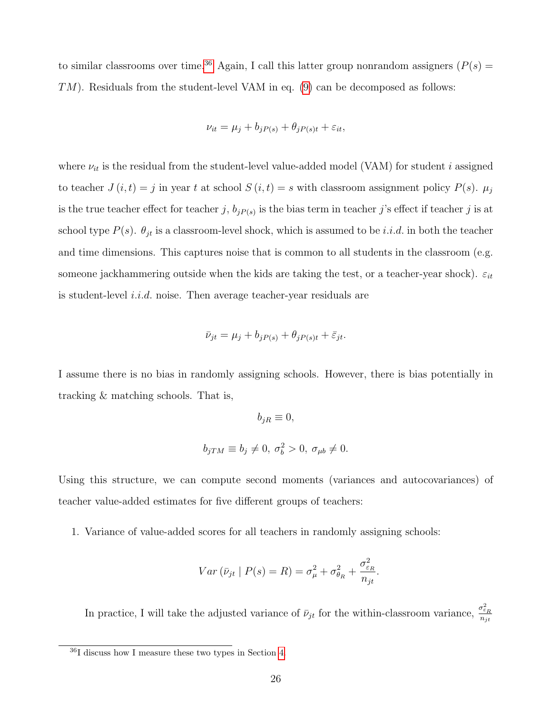to similar classrooms over time.<sup>[36](#page-0-0)</sup> Again, I call this latter group nonrandom assigners ( $P(s)$ ) TM). Residuals from the student-level VAM in eq. [\(9\)](#page-24-1) can be decomposed as follows:

$$
\nu_{it} = \mu_j + b_{jP(s)} + \theta_{jP(s)t} + \varepsilon_{it},
$$

where  $\nu_{it}$  is the residual from the student-level value-added model (VAM) for student i assigned to teacher  $J(i, t) = j$  in year t at school  $S(i, t) = s$  with classroom assignment policy  $P(s)$ .  $\mu_j$ is the true teacher effect for teacher j,  $b_{jP(s)}$  is the bias term in teacher j's effect if teacher j is at school type  $P(s)$ .  $\theta_{jt}$  is a classroom-level shock, which is assumed to be *i.i.d.* in both the teacher and time dimensions. This captures noise that is common to all students in the classroom (e.g. someone jackhammering outside when the kids are taking the test, or a teacher-year shock).  $\varepsilon_{it}$ is student-level i.i.d. noise. Then average teacher-year residuals are

$$
\bar{\nu}_{jt} = \mu_j + b_{jP(s)} + \theta_{jP(s)t} + \bar{\varepsilon}_{jt}.
$$

I assume there is no bias in randomly assigning schools. However, there is bias potentially in tracking & matching schools. That is,

$$
b_{jR} \equiv 0,
$$
  

$$
b_{jTM} \equiv b_j \neq 0, \ \sigma_b^2 > 0, \ \sigma_{\mu b} \neq 0.
$$

Using this structure, we can compute second moments (variances and autocovariances) of teacher value-added estimates for five different groups of teachers:

1. Variance of value-added scores for all teachers in randomly assigning schools:

$$
Var\left(\bar{\nu}_{jt} \mid P(s) = R\right) = \sigma_{\mu}^{2} + \sigma_{\theta R}^{2} + \frac{\sigma_{\varepsilon R}^{2}}{n_{jt}}.
$$

In practice, I will take the adjusted variance of  $\bar{\nu}_{jt}$  for the within-classroom variance,  $\frac{\sigma_{\varepsilon_R}^2}{n_{st}}$  $n_{jt}$ 

<sup>36</sup>I discuss how I measure these two types in Section [4.](#page-13-0)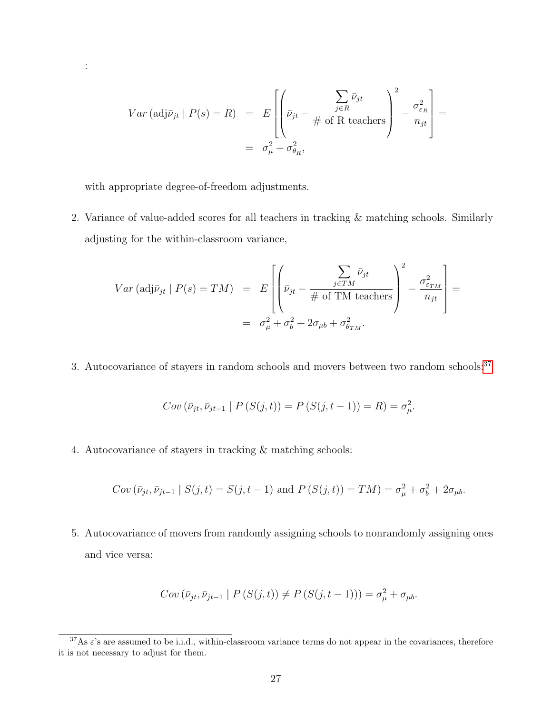$$
Var (\text{adj}\bar{\nu}_{jt} | P(s) = R) = E \left[ \left( \bar{\nu}_{jt} - \frac{\sum_{j \in R} \bar{\nu}_{jt}}{\# \text{ of R teachers}} \right)^2 - \frac{\sigma_{\varepsilon_R}^2}{n_{jt}} \right] =
$$
  
=  $\sigma_{\mu}^2 + \sigma_{\theta_R}^2$ ,

with appropriate degree-of-freedom adjustments.

:

2. Variance of value-added scores for all teachers in tracking & matching schools. Similarly adjusting for the within-classroom variance,

$$
Var (\text{adj}\bar{\nu}_{jt} | P(s) = TM) = E\left[ \left( \bar{\nu}_{jt} - \frac{\sum_{j \in TM} \bar{\nu}_{jt}}{\# \text{ of TM teachers}} \right)^2 - \frac{\sigma_{\varepsilon_{TM}}^2}{n_{jt}} \right] =
$$
  
=  $\sigma_{\mu}^2 + \sigma_b^2 + 2\sigma_{\mu b} + \sigma_{\theta_{TM}}^2.$ 

3. Autocovariance of stayers in random schools and movers between two random schools:<sup>[37](#page-0-0)</sup>

$$
Cov\left(\bar{\nu}_{jt}, \bar{\nu}_{jt-1} \mid P\left(S(j, t)\right)\right) = P\left(S(j, t-1)\right) = R) = \sigma_{\mu}^{2}.
$$

4. Autocovariance of stayers in tracking & matching schools:

$$
Cov(\bar{v}_{jt}, \bar{v}_{jt-1} | S(j, t) = S(j, t-1)
$$
 and  $P(S(j,t)) = TM) = \sigma_{\mu}^2 + \sigma_{b}^2 + 2\sigma_{\mu b}$ .

5. Autocovariance of movers from randomly assigning schools to nonrandomly assigning ones and vice versa:

$$
Cov\left(\bar{\nu}_{jt}, \bar{\nu}_{jt-1} \mid P\left(S(j,t)\right) \neq P\left(S(j,t-1)\right)\right) = \sigma_{\mu}^2 + \sigma_{\mu b}.
$$

 $37\text{As } \varepsilon$ 's are assumed to be i.i.d., within-classroom variance terms do not appear in the covariances, therefore it is not necessary to adjust for them.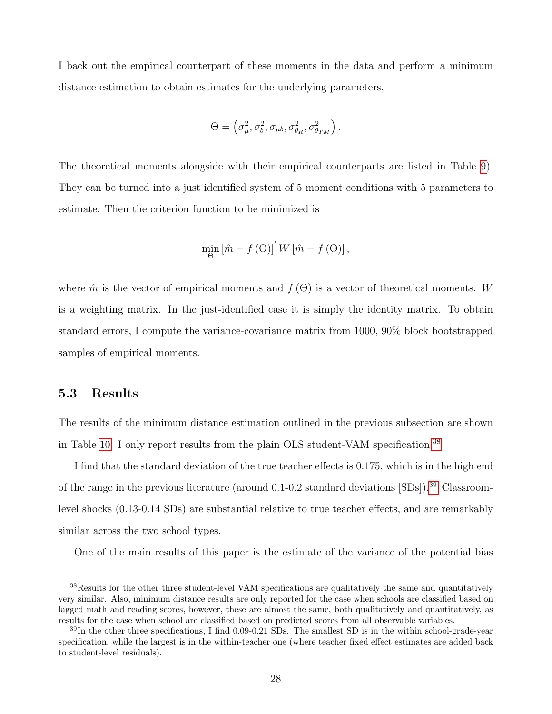I back out the empirical counterpart of these moments in the data and perform a minimum distance estimation to obtain estimates for the underlying parameters,

$$
\Theta = \left(\sigma_{\mu}^2, \sigma_{b}^2, \sigma_{\mu b}, \sigma_{\theta_R}^2, \sigma_{\theta_{TM}}^2\right).
$$

The theoretical moments alongside with their empirical counterparts are listed in Table [9\)](#page-45-1). They can be turned into a just identified system of 5 moment conditions with 5 parameters to estimate. Then the criterion function to be minimized is

$$
\min_{\Theta} \left[ \hat{m} - f(\Theta) \right]' W \left[ \hat{m} - f(\Theta) \right],
$$

where  $\hat{m}$  is the vector of empirical moments and  $f(\Theta)$  is a vector of theoretical moments. W is a weighting matrix. In the just-identified case it is simply the identity matrix. To obtain standard errors, I compute the variance-covariance matrix from 1000, 90% block bootstrapped samples of empirical moments.

### 5.3 Results

The results of the minimum distance estimation outlined in the previous subsection are shown in Table [10.](#page-46-0) I only report results from the plain OLS student-VAM specification.[38](#page-0-0)

I find that the standard deviation of the true teacher effects is 0.175, which is in the high end of the range in the previous literature (around 0.1-0.2 standard deviations  $[SDs]$ ).<sup>[39](#page-0-0)</sup> Classroomlevel shocks (0.13-0.14 SDs) are substantial relative to true teacher effects, and are remarkably similar across the two school types.

One of the main results of this paper is the estimate of the variance of the potential bias

<sup>38</sup>Results for the other three student-level VAM specifications are qualitatively the same and quantitatively very similar. Also, minimum distance results are only reported for the case when schools are classified based on lagged math and reading scores, however, these are almost the same, both qualitatively and quantitatively, as results for the case when school are classified based on predicted scores from all observable variables.

<sup>39</sup>In the other three specifications, I find 0.09-0.21 SDs. The smallest SD is in the within school-grade-year specification, while the largest is in the within-teacher one (where teacher fixed effect estimates are added back to student-level residuals).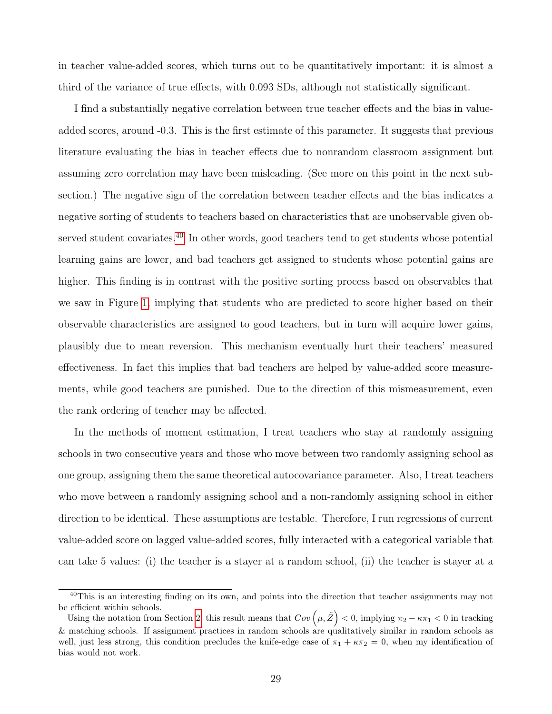in teacher value-added scores, which turns out to be quantitatively important: it is almost a third of the variance of true effects, with 0.093 SDs, although not statistically significant.

I find a substantially negative correlation between true teacher effects and the bias in valueadded scores, around -0.3. This is the first estimate of this parameter. It suggests that previous literature evaluating the bias in teacher effects due to nonrandom classroom assignment but assuming zero correlation may have been misleading. (See more on this point in the next subsection.) The negative sign of the correlation between teacher effects and the bias indicates a negative sorting of students to teachers based on characteristics that are unobservable given ob-served student covariates.<sup>[40](#page-0-0)</sup> In other words, good teachers tend to get students whose potential learning gains are lower, and bad teachers get assigned to students whose potential gains are higher. This finding is in contrast with the positive sorting process based on observables that we saw in Figure [1,](#page-50-0) implying that students who are predicted to score higher based on their observable characteristics are assigned to good teachers, but in turn will acquire lower gains, plausibly due to mean reversion. This mechanism eventually hurt their teachers' measured effectiveness. In fact this implies that bad teachers are helped by value-added score measurements, while good teachers are punished. Due to the direction of this mismeasurement, even the rank ordering of teacher may be affected.

In the methods of moment estimation, I treat teachers who stay at randomly assigning schools in two consecutive years and those who move between two randomly assigning school as one group, assigning them the same theoretical autocovariance parameter. Also, I treat teachers who move between a randomly assigning school and a non-randomly assigning school in either direction to be identical. These assumptions are testable. Therefore, I run regressions of current value-added score on lagged value-added scores, fully interacted with a categorical variable that can take 5 values: (i) the teacher is a stayer at a random school, (ii) the teacher is stayer at a

<sup>&</sup>lt;sup>40</sup>This is an interesting finding on its own, and points into the direction that teacher assignments may not be efficient within schools.

Using the notation from Section [2,](#page-6-2) this result means that  $Cov(\mu, \tilde{Z}) < 0$ , implying  $\pi_2 - \kappa \pi_1 < 0$  in tracking & matching schools. If assignment practices in random schools are qualitatively similar in random schools as well, just less strong, this condition precludes the knife-edge case of  $\pi_1 + \kappa \pi_2 = 0$ , when my identification of bias would not work.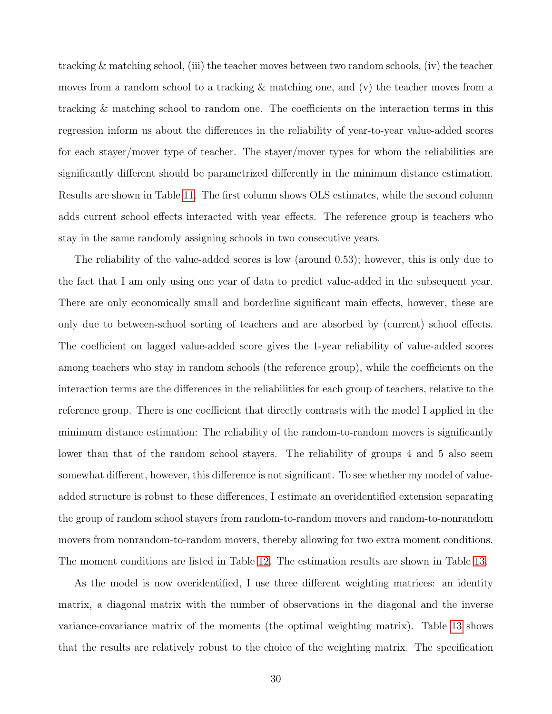tracking & matching school, (iii) the teacher moves between two random schools, (iv) the teacher moves from a random school to a tracking & matching one, and (v) the teacher moves from a tracking & matching school to random one. The coefficients on the interaction terms in this regression inform us about the differences in the reliability of year-to-year value-added scores for each stayer/mover type of teacher. The stayer/mover types for whom the reliabilities are significantly different should be parametrized differently in the minimum distance estimation. Results are shown in Table [11.](#page-47-0) The first column shows OLS estimates, while the second column adds current school effects interacted with year effects. The reference group is teachers who stay in the same randomly assigning schools in two consecutive years.

The reliability of the value-added scores is low (around 0.53); however, this is only due to the fact that I am only using one year of data to predict value-added in the subsequent year. There are only economically small and borderline significant main effects, however, these are only due to between-school sorting of teachers and are absorbed by (current) school effects. The coefficient on lagged value-added score gives the 1-year reliability of value-added scores among teachers who stay in random schools (the reference group), while the coefficients on the interaction terms are the differences in the reliabilities for each group of teachers, relative to the reference group. There is one coefficient that directly contrasts with the model I applied in the minimum distance estimation: The reliability of the random-to-random movers is significantly lower than that of the random school stayers. The reliability of groups 4 and 5 also seem somewhat different, however, this difference is not significant. To see whether my model of valueadded structure is robust to these differences, I estimate an overidentified extension separating the group of random school stayers from random-to-random movers and random-to-nonrandom movers from nonrandom-to-random movers, thereby allowing for two extra moment conditions. The moment conditions are listed in Table [12.](#page-48-0) The estimation results are shown in Table [13.](#page-49-0)

As the model is now overidentified, I use three different weighting matrices: an identity matrix, a diagonal matrix with the number of observations in the diagonal and the inverse variance-covariance matrix of the moments (the optimal weighting matrix). Table [13](#page-49-0) shows that the results are relatively robust to the choice of the weighting matrix. The specification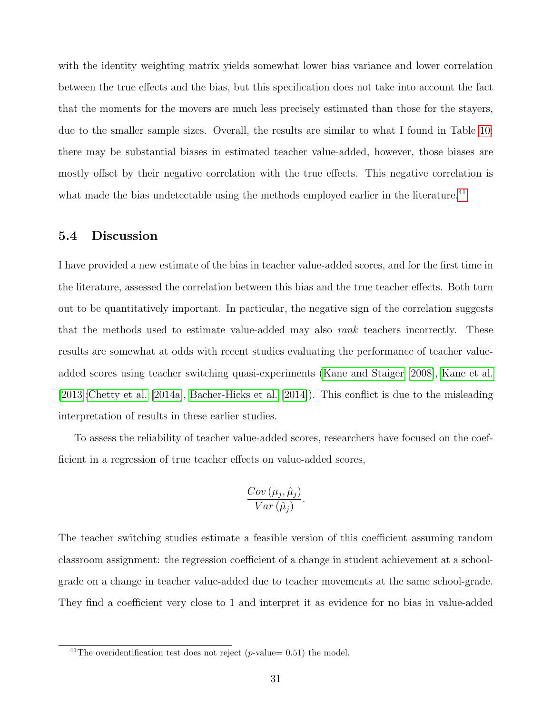with the identity weighting matrix yields somewhat lower bias variance and lower correlation between the true effects and the bias, but this specification does not take into account the fact that the moments for the movers are much less precisely estimated than those for the stayers, due to the smaller sample sizes. Overall, the results are similar to what I found in Table [10:](#page-46-0) there may be substantial biases in estimated teacher value-added, however, those biases are mostly offset by their negative correlation with the true effects. This negative correlation is what made the bias undetectable using the methods employed earlier in the literature.<sup>[41](#page-0-0)</sup>

### 5.4 Discussion

I have provided a new estimate of the bias in teacher value-added scores, and for the first time in the literature, assessed the correlation between this bias and the true teacher effects. Both turn out to be quantitatively important. In particular, the negative sign of the correlation suggests that the methods used to estimate value-added may also *rank* teachers incorrectly. These results are somewhat at odds with recent studies evaluating the performance of teacher valueadded scores using teacher switching quasi-experiments [\(Kane and Staiger](#page-37-5) [\[2008\]](#page-37-5), [Kane et al.](#page-37-3) [\[2013\]](#page-37-3)[;Chetty et al.](#page-36-3) [\[2014a\]](#page-36-3), [Bacher-Hicks et al.](#page-36-4) [\[2014\]](#page-36-4)). This conflict is due to the misleading interpretation of results in these earlier studies.

To assess the reliability of teacher value-added scores, researchers have focused on the coefficient in a regression of true teacher effects on value-added scores,

$$
\frac{Cov\left(\mu_j, \hat{\mu}_j\right)}{Var\left(\hat{\mu}_j\right)}.
$$

The teacher switching studies estimate a feasible version of this coefficient assuming random classroom assignment: the regression coefficient of a change in student achievement at a schoolgrade on a change in teacher value-added due to teacher movements at the same school-grade. They find a coefficient very close to 1 and interpret it as evidence for no bias in value-added

<sup>&</sup>lt;sup>41</sup>The overidentification test does not reject (p-value= 0.51) the model.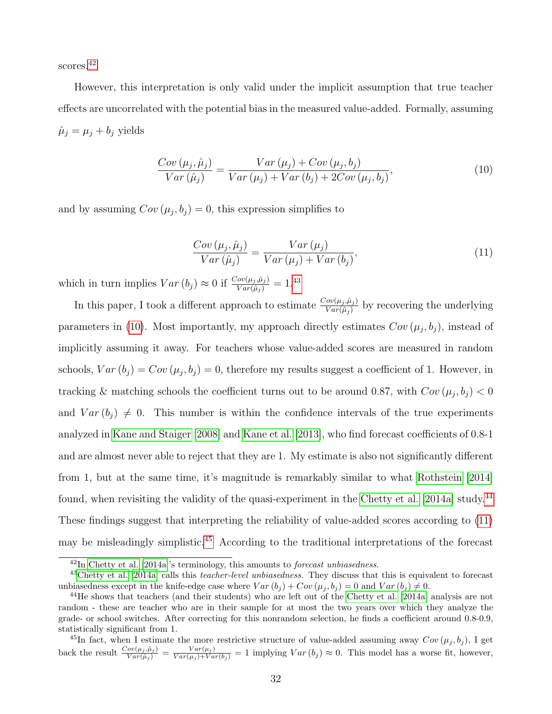scores.<sup>[42](#page-0-0)</sup>

However, this interpretation is only valid under the implicit assumption that true teacher effects are uncorrelated with the potential bias in the measured value-added. Formally, assuming  $\hat{\mu}_j = \mu_j + b_j$  yields

<span id="page-32-0"></span>
$$
\frac{Cov(\mu_j, \hat{\mu}_j)}{Var(\hat{\mu}_j)} = \frac{Var(\mu_j) + Cov(\mu_j, b_j)}{Var(\mu_j) + Var(b_j) + 2Cov(\mu_j, b_j)},
$$
\n(10)

and by assuming  $Cov(\mu_j, b_j) = 0$ , this expression simplifies to

<span id="page-32-1"></span>
$$
\frac{Cov(\mu_j, \hat{\mu}_j)}{Var(\hat{\mu}_j)} = \frac{Var(\mu_j)}{Var(\mu_j) + Var(b_j)},\tag{11}
$$

which in turn implies  $Var(b_j) \approx 0$  if  $\frac{Cov(\mu_j, \hat{\mu}_j)}{Var(\hat{\mu}_j)} = 1.43$  $\frac{Cov(\mu_j, \hat{\mu}_j)}{Var(\hat{\mu}_j)} = 1.43$ 

In this paper, I took a different approach to estimate  $\frac{Cov(\mu_j, \hat{\mu}_j)}{Var(\hat{\mu}_j)}$  by recovering the underlying parameters in [\(10\)](#page-32-0). Most importantly, my approach directly estimates  $Cov(\mu_j, b_j)$ , instead of implicitly assuming it away. For teachers whose value-added scores are measured in random schools,  $Var(b_j) = Cov(\mu_j, b_j) = 0$ , therefore my results suggest a coefficient of 1. However, in tracking & matching schools the coefficient turns out to be around 0.87, with  $Cov(\mu_j, b_j) < 0$ and  $Var(b_j) \neq 0$ . This number is within the confidence intervals of the true experiments analyzed in [Kane and Staiger](#page-37-5) [\[2008\]](#page-37-5) and [Kane et al.](#page-37-3) [\[2013\]](#page-37-3), who find forecast coefficients of 0.8-1 and are almost never able to reject that they are 1. My estimate is also not significantly different from 1, but at the same time, it's magnitude is remarkably similar to what [Rothstein](#page-38-2) [\[2014\]](#page-38-2) found, when revisiting the validity of the quasi-experiment in the [Chetty et al.](#page-36-3) [\[2014a\]](#page-36-3) study.<sup>[44](#page-0-0)</sup> These findings suggest that interpreting the reliability of value-added scores according to [\(11\)](#page-32-1) may be misleadingly simplistic.<sup>[45](#page-0-0)</sup> According to the traditional interpretations of the forecast

<sup>42</sup>In [Chetty et al.](#page-36-3) [\[2014a\]](#page-36-3)'s terminology, this amounts to forecast unbiasedness.

<sup>&</sup>lt;sup>43</sup>[Chetty et al.](#page-36-3) [\[2014a\]](#page-36-3) calls this *teacher-level unbiasedness*. They discuss that this is equivalent to forecast unbiasedness except in the knife-edge case where  $Var(b_j) + Cov(\mu_j, b_j) = 0$  and  $Var(b_j) \neq 0$ .

<sup>&</sup>lt;sup>44</sup>He shows that teachers (and their students) who are left out of the [Chetty et al.](#page-36-3) [\[2014a\]](#page-36-3) analysis are not random - these are teacher who are in their sample for at most the two years over which they analyze the grade- or school switches. After correcting for this nonrandom selection, he finds a coefficient around 0.8-0.9, statistically significant from 1.

<sup>&</sup>lt;sup>45</sup>In fact, when I estimate the more restrictive structure of value-added assuming away  $Cov(\mu_j, b_j)$ , I get back the result  $\frac{Cov(\mu_j, \hat{\mu}_j)}{Var(\hat{\mu}_j)} = \frac{Var(\mu_j)}{Var(\mu_j)+Var(b_j)} = 1$  implying  $Var(b_j) \approx 0$ . This model has a worse fit, however,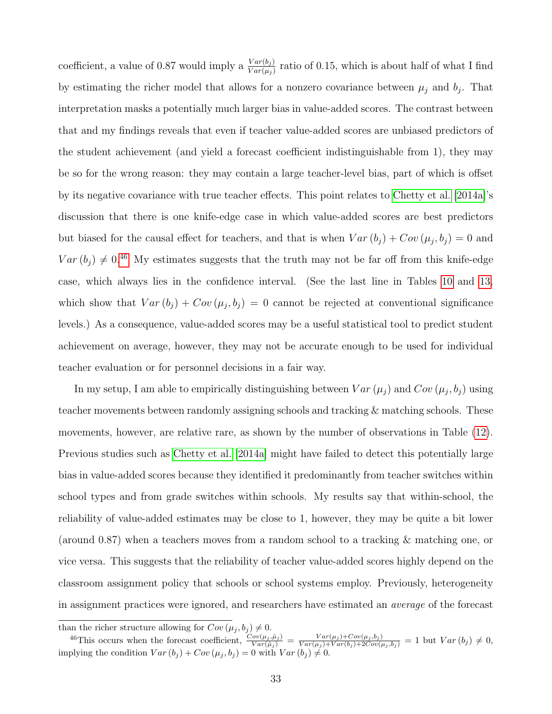coefficient, a value of 0.87 would imply a  $\frac{Var(b_j)}{Var(\mu_j)}$  ratio of 0.15, which is about half of what I find by estimating the richer model that allows for a nonzero covariance between  $\mu_j$  and  $b_j$ . That interpretation masks a potentially much larger bias in value-added scores. The contrast between that and my findings reveals that even if teacher value-added scores are unbiased predictors of the student achievement (and yield a forecast coefficient indistinguishable from 1), they may be so for the wrong reason: they may contain a large teacher-level bias, part of which is offset by its negative covariance with true teacher effects. This point relates to [Chetty et al.](#page-36-3) [\[2014a\]](#page-36-3)'s discussion that there is one knife-edge case in which value-added scores are best predictors but biased for the causal effect for teachers, and that is when  $Var(b_j) + Cov(\mu_j, b_j) = 0$  and  $Var(b_j) \neq 0.46$  $Var(b_j) \neq 0.46$  My estimates suggests that the truth may not be far off from this knife-edge case, which always lies in the confidence interval. (See the last line in Tables [10](#page-46-0) and [13,](#page-49-0) which show that  $Var(b_j) + Cov(\mu_j, b_j) = 0$  cannot be rejected at conventional significance levels.) As a consequence, value-added scores may be a useful statistical tool to predict student achievement on average, however, they may not be accurate enough to be used for individual teacher evaluation or for personnel decisions in a fair way.

In my setup, I am able to empirically distinguishing between  $Var(\mu_j)$  and  $Cov(\mu_j, b_j)$  using teacher movements between randomly assigning schools and tracking & matching schools. These movements, however, are relative rare, as shown by the number of observations in Table [\(12\)](#page-48-0). Previous studies such as [Chetty et al.](#page-36-3) [\[2014a\]](#page-36-3) might have failed to detect this potentially large bias in value-added scores because they identified it predominantly from teacher switches within school types and from grade switches within schools. My results say that within-school, the reliability of value-added estimates may be close to 1, however, they may be quite a bit lower (around 0.87) when a teachers moves from a random school to a tracking & matching one, or vice versa. This suggests that the reliability of teacher value-added scores highly depend on the classroom assignment policy that schools or school systems employ. Previously, heterogeneity in assignment practices were ignored, and researchers have estimated an average of the forecast

than the richer structure allowing for  $Cov(\mu_j, b_j) \neq 0$ .

<sup>&</sup>lt;sup>46</sup>This occurs when the forecast coefficient,  $\frac{Cov(\mu_j, \hat{\mu}_j)}{Var(\hat{\mu}_j)} = \frac{Var(\mu_j)+Cov(\mu_j, b_j)}{Var(\mu_j)+Var(b_j)+2Cov(\mu_j, b_j)} = 1$  but  $Var(b_j) \neq 0$ , implying the condition  $Var(b_j) + Cov(\mu_j, b_j) = 0$  with  $Var(b_j) \neq 0$ .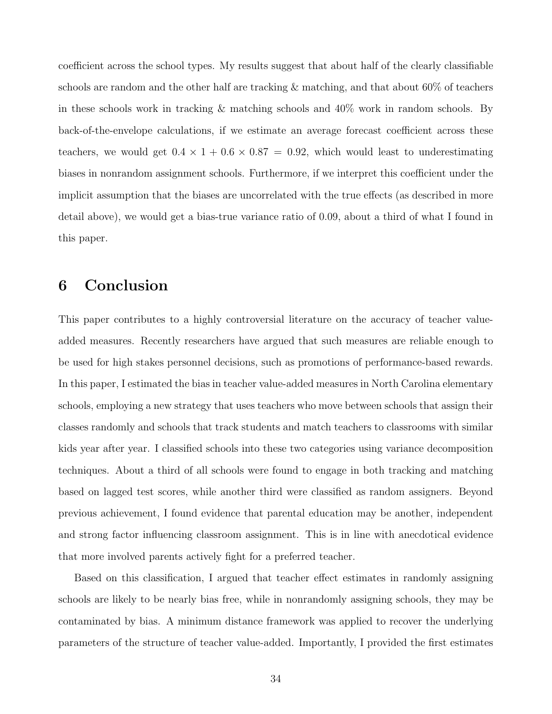coefficient across the school types. My results suggest that about half of the clearly classifiable schools are random and the other half are tracking & matching, and that about 60% of teachers in these schools work in tracking & matching schools and 40% work in random schools. By back-of-the-envelope calculations, if we estimate an average forecast coefficient across these teachers, we would get  $0.4 \times 1 + 0.6 \times 0.87 = 0.92$ , which would least to underestimating biases in nonrandom assignment schools. Furthermore, if we interpret this coefficient under the implicit assumption that the biases are uncorrelated with the true effects (as described in more detail above), we would get a bias-true variance ratio of 0.09, about a third of what I found in this paper.

# 6 Conclusion

This paper contributes to a highly controversial literature on the accuracy of teacher valueadded measures. Recently researchers have argued that such measures are reliable enough to be used for high stakes personnel decisions, such as promotions of performance-based rewards. In this paper, I estimated the bias in teacher value-added measures in North Carolina elementary schools, employing a new strategy that uses teachers who move between schools that assign their classes randomly and schools that track students and match teachers to classrooms with similar kids year after year. I classified schools into these two categories using variance decomposition techniques. About a third of all schools were found to engage in both tracking and matching based on lagged test scores, while another third were classified as random assigners. Beyond previous achievement, I found evidence that parental education may be another, independent and strong factor influencing classroom assignment. This is in line with anecdotical evidence that more involved parents actively fight for a preferred teacher.

Based on this classification, I argued that teacher effect estimates in randomly assigning schools are likely to be nearly bias free, while in nonrandomly assigning schools, they may be contaminated by bias. A minimum distance framework was applied to recover the underlying parameters of the structure of teacher value-added. Importantly, I provided the first estimates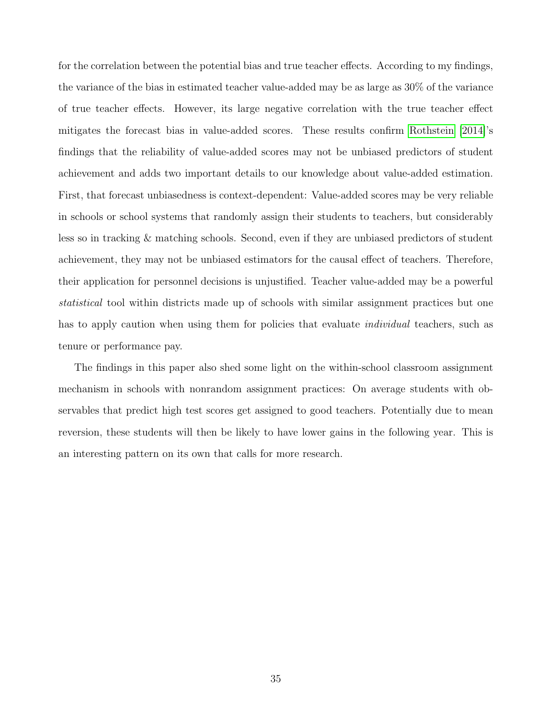for the correlation between the potential bias and true teacher effects. According to my findings, the variance of the bias in estimated teacher value-added may be as large as 30% of the variance of true teacher effects. However, its large negative correlation with the true teacher effect mitigates the forecast bias in value-added scores. These results confirm [Rothstein](#page-38-2) [\[2014\]](#page-38-2)'s findings that the reliability of value-added scores may not be unbiased predictors of student achievement and adds two important details to our knowledge about value-added estimation. First, that forecast unbiasedness is context-dependent: Value-added scores may be very reliable in schools or school systems that randomly assign their students to teachers, but considerably less so in tracking & matching schools. Second, even if they are unbiased predictors of student achievement, they may not be unbiased estimators for the causal effect of teachers. Therefore, their application for personnel decisions is unjustified. Teacher value-added may be a powerful statistical tool within districts made up of schools with similar assignment practices but one has to apply caution when using them for policies that evaluate *individual* teachers, such as tenure or performance pay.

The findings in this paper also shed some light on the within-school classroom assignment mechanism in schools with nonrandom assignment practices: On average students with observables that predict high test scores get assigned to good teachers. Potentially due to mean reversion, these students will then be likely to have lower gains in the following year. This is an interesting pattern on its own that calls for more research.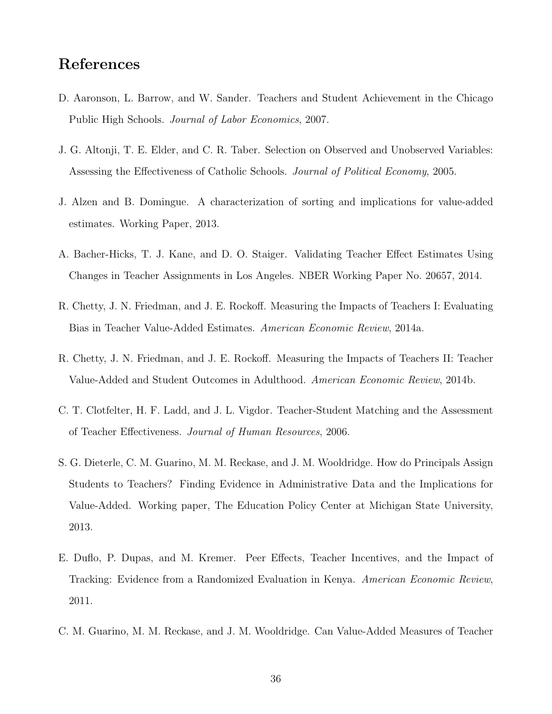# References

- <span id="page-36-1"></span>D. Aaronson, L. Barrow, and W. Sander. Teachers and Student Achievement in the Chicago Public High Schools. Journal of Labor Economics, 2007.
- <span id="page-36-6"></span>J. G. Altonji, T. E. Elder, and C. R. Taber. Selection on Observed and Unobserved Variables: Assessing the Effectiveness of Catholic Schools. Journal of Political Economy, 2005.
- <span id="page-36-7"></span>J. Alzen and B. Domingue. A characterization of sorting and implications for value-added estimates. Working Paper, 2013.
- <span id="page-36-4"></span>A. Bacher-Hicks, T. J. Kane, and D. O. Staiger. Validating Teacher Effect Estimates Using Changes in Teacher Assignments in Los Angeles. NBER Working Paper No. 20657, 2014.
- <span id="page-36-3"></span>R. Chetty, J. N. Friedman, and J. E. Rockoff. Measuring the Impacts of Teachers I: Evaluating Bias in Teacher Value-Added Estimates. American Economic Review, 2014a.
- <span id="page-36-0"></span>R. Chetty, J. N. Friedman, and J. E. Rockoff. Measuring the Impacts of Teachers II: Teacher Value-Added and Student Outcomes in Adulthood. American Economic Review, 2014b.
- <span id="page-36-5"></span>C. T. Clotfelter, H. F. Ladd, and J. L. Vigdor. Teacher-Student Matching and the Assessment of Teacher Effectiveness. Journal of Human Resources, 2006.
- <span id="page-36-8"></span>S. G. Dieterle, C. M. Guarino, M. M. Reckase, and J. M. Wooldridge. How do Principals Assign Students to Teachers? Finding Evidence in Administrative Data and the Implications for Value-Added. Working paper, The Education Policy Center at Michigan State University, 2013.
- <span id="page-36-2"></span>E. Duflo, P. Dupas, and M. Kremer. Peer Effects, Teacher Incentives, and the Impact of Tracking: Evidence from a Randomized Evaluation in Kenya. American Economic Review, 2011.
- <span id="page-36-9"></span>C. M. Guarino, M. M. Reckase, and J. M. Wooldridge. Can Value-Added Measures of Teacher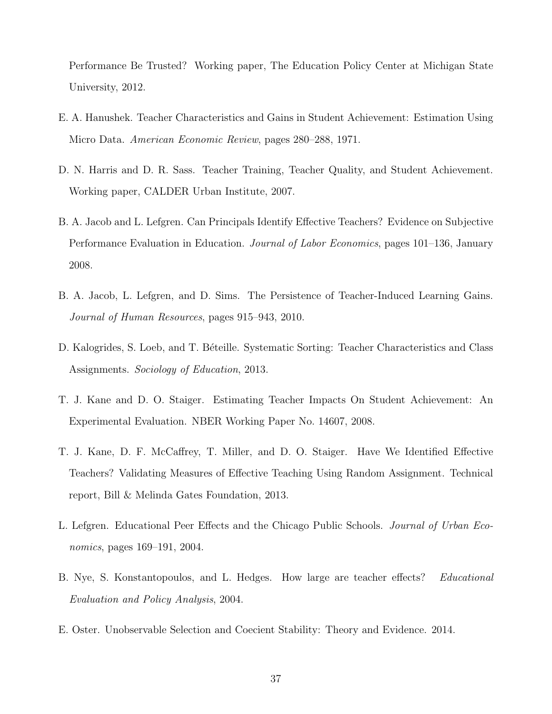Performance Be Trusted? Working paper, The Education Policy Center at Michigan State University, 2012.

- <span id="page-37-7"></span>E. A. Hanushek. Teacher Characteristics and Gains in Student Achievement: Estimation Using Micro Data. American Economic Review, pages 280–288, 1971.
- <span id="page-37-1"></span>D. N. Harris and D. R. Sass. Teacher Training, Teacher Quality, and Student Achievement. Working paper, CALDER Urban Institute, 2007.
- <span id="page-37-2"></span>B. A. Jacob and L. Lefgren. Can Principals Identify Effective Teachers? Evidence on Subjective Performance Evaluation in Education. Journal of Labor Economics, pages 101–136, January 2008.
- <span id="page-37-9"></span>B. A. Jacob, L. Lefgren, and D. Sims. The Persistence of Teacher-Induced Learning Gains. Journal of Human Resources, pages 915–943, 2010.
- <span id="page-37-6"></span>D. Kalogrides, S. Loeb, and T. Béteille. Systematic Sorting: Teacher Characteristics and Class Assignments. Sociology of Education, 2013.
- <span id="page-37-5"></span>T. J. Kane and D. O. Staiger. Estimating Teacher Impacts On Student Achievement: An Experimental Evaluation. NBER Working Paper No. 14607, 2008.
- <span id="page-37-3"></span>T. J. Kane, D. F. McCaffrey, T. Miller, and D. O. Staiger. Have We Identified Effective Teachers? Validating Measures of Effective Teaching Using Random Assignment. Technical report, Bill & Melinda Gates Foundation, 2013.
- <span id="page-37-8"></span>L. Lefgren. Educational Peer Effects and the Chicago Public Schools. Journal of Urban Economics, pages 169–191, 2004.
- <span id="page-37-0"></span>B. Nye, S. Konstantopoulos, and L. Hedges. How large are teacher effects? Educational Evaluation and Policy Analysis, 2004.
- <span id="page-37-4"></span>E. Oster. Unobservable Selection and Coecient Stability: Theory and Evidence. 2014.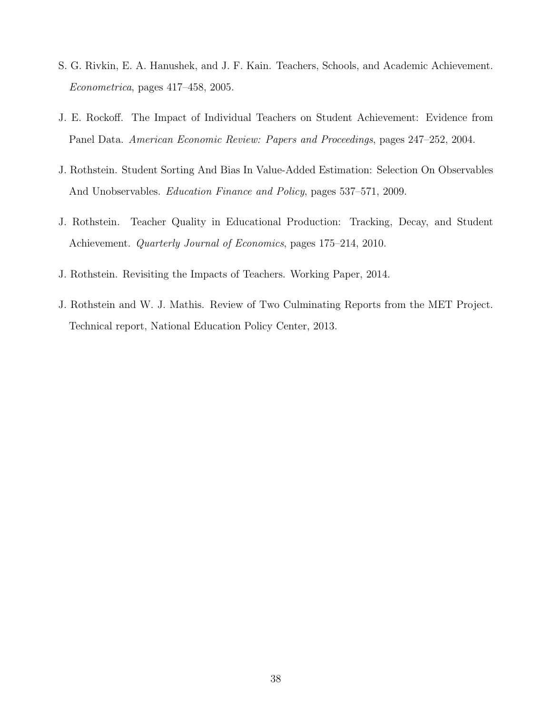- <span id="page-38-1"></span>S. G. Rivkin, E. A. Hanushek, and J. F. Kain. Teachers, Schools, and Academic Achievement. Econometrica, pages 417–458, 2005.
- <span id="page-38-0"></span>J. E. Rockoff. The Impact of Individual Teachers on Student Achievement: Evidence from Panel Data. American Economic Review: Papers and Proceedings, pages 247–252, 2004.
- <span id="page-38-4"></span>J. Rothstein. Student Sorting And Bias In Value-Added Estimation: Selection On Observables And Unobservables. Education Finance and Policy, pages 537–571, 2009.
- <span id="page-38-5"></span>J. Rothstein. Teacher Quality in Educational Production: Tracking, Decay, and Student Achievement. Quarterly Journal of Economics, pages 175–214, 2010.
- <span id="page-38-2"></span>J. Rothstein. Revisiting the Impacts of Teachers. Working Paper, 2014.
- <span id="page-38-3"></span>J. Rothstein and W. J. Mathis. Review of Two Culminating Reports from the MET Project. Technical report, National Education Policy Center, 2013.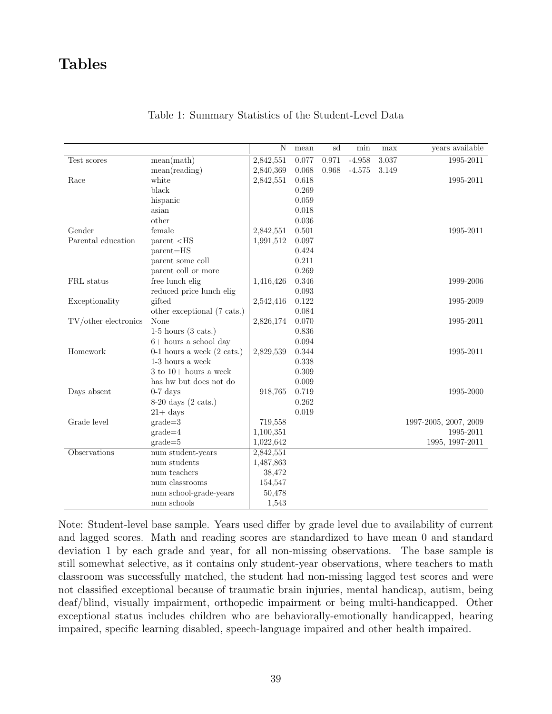# Tables

|                      |                                      | $\overline{\text{N}}$ | mean  | sd    | min      | max   | years available       |
|----------------------|--------------------------------------|-----------------------|-------|-------|----------|-------|-----------------------|
| Test scores          | mean(math)                           | 2,842,551             | 0.077 | 0.971 | $-4.958$ | 3.037 | 1995-2011             |
|                      | $mean(\mathrm{reading})$             | 2,840,369             | 0.068 | 0.968 | $-4.575$ | 3.149 |                       |
| Race                 | white                                | 2,842,551             | 0.618 |       |          |       | 1995-2011             |
|                      | black                                |                       | 0.269 |       |          |       |                       |
|                      | hispanic                             |                       | 0.059 |       |          |       |                       |
|                      | asian                                |                       | 0.018 |       |          |       |                       |
|                      | other                                |                       | 0.036 |       |          |       |                       |
| Gender               | female                               | 2,842,551             | 0.501 |       |          |       | 1995-2011             |
| Parental education   | $parent <$ HS                        | 1,991,512             | 0.097 |       |          |       |                       |
|                      | parent=HS                            |                       | 0.424 |       |          |       |                       |
|                      | parent some coll                     |                       | 0.211 |       |          |       |                       |
|                      | parent coll or more                  |                       | 0.269 |       |          |       |                       |
| FRL status           | free lunch elig                      | 1,416,426             | 0.346 |       |          |       | 1999-2006             |
|                      | reduced price lunch elig             |                       | 0.093 |       |          |       |                       |
| Exceptionality       | gifted                               | 2,542,416             | 0.122 |       |          |       | 1995-2009             |
|                      | other exceptional (7 cats.)          |                       | 0.084 |       |          |       |                       |
| TV/other electronics | None                                 | 2,826,174             | 0.070 |       |          |       | 1995-2011             |
|                      | $1-5$ hours $(3 \text{ cats.})$      |                       | 0.836 |       |          |       |                       |
|                      | $6+$ hours a school day              |                       | 0.094 |       |          |       |                       |
| Homework             | 0-1 hours a week $(2 \text{ cats.})$ | 2,829,539             | 0.344 |       |          |       | 1995-2011             |
|                      | 1-3 hours a week                     |                       | 0.338 |       |          |       |                       |
|                      | $3$ to $10+$ hours a week            |                       | 0.309 |       |          |       |                       |
|                      | has hw but does not do               |                       | 0.009 |       |          |       |                       |
| Days absent          | $0-7$ days                           | 918,765               | 0.719 |       |          |       | 1995-2000             |
|                      | $8-20$ days $(2 \text{ cats.})$      |                       | 0.262 |       |          |       |                       |
|                      | $21 + \mathrm{days}$                 |                       | 0.019 |       |          |       |                       |
| Grade level          | $grade = 3$                          | 719,558               |       |       |          |       | 1997-2005, 2007, 2009 |
|                      | $grade=4$                            | 1,100,351             |       |       |          |       | 1995-2011             |
|                      | $grade = 5$                          | 1,022,642             |       |       |          |       | 1995, 1997-2011       |
| Observations         | num student-years                    | 2,842,551             |       |       |          |       |                       |
|                      | num students                         | 1,487,863             |       |       |          |       |                       |
|                      | num teachers                         | 38,472                |       |       |          |       |                       |
|                      | num classrooms                       | 154,547               |       |       |          |       |                       |
|                      | num school-grade-years               | 50,478                |       |       |          |       |                       |
|                      | num schools                          | 1,543                 |       |       |          |       |                       |

### <span id="page-39-0"></span>Table 1: Summary Statistics of the Student-Level Data

Note: Student-level base sample. Years used differ by grade level due to availability of current and lagged scores. Math and reading scores are standardized to have mean 0 and standard deviation 1 by each grade and year, for all non-missing observations. The base sample is still somewhat selective, as it contains only student-year observations, where teachers to math classroom was successfully matched, the student had non-missing lagged test scores and were not classified exceptional because of traumatic brain injuries, mental handicap, autism, being deaf/blind, visually impairment, orthopedic impairment or being multi-handicapped. Other exceptional status includes children who are behaviorally-emotionally handicapped, hearing impaired, specific learning disabled, speech-language impaired and other health impaired.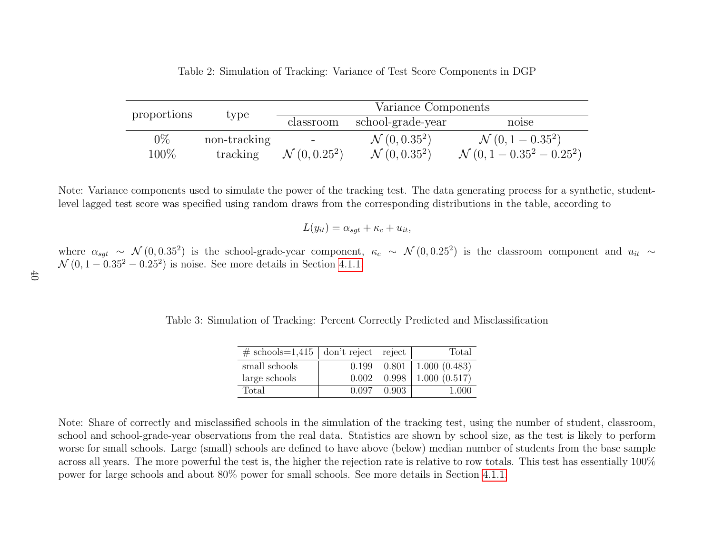|             |              | Variance Components      |                          |                                       |  |
|-------------|--------------|--------------------------|--------------------------|---------------------------------------|--|
| proportions | type         | classroom                | school-grade-year        | noise                                 |  |
| $0\%$       | non-tracking |                          | $\mathcal{N}(0, 0.35^2)$ | $\mathcal{N}(0, 1 - 0.35^2)$          |  |
| $100\%$     | tracking     | $\mathcal{N}(0, 0.25^2)$ | $\mathcal{N}(0, 0.35^2)$ | $\mathcal{N}(0, 1 - 0.35^2 - 0.25^2)$ |  |

<span id="page-40-1"></span><span id="page-40-0"></span>

| Table 2: Simulation of Tracking: Variance of Test Score Components in DGP |  |  |
|---------------------------------------------------------------------------|--|--|
|                                                                           |  |  |

Note: Variance components used to simulate the power of the tracking test. The data generating process for <sup>a</sup> synthetic, studentlevel lagged test score was specified using random draws from the corresponding distributions in the table, according to

$$
L(y_{it}) = \alpha_{sgt} + \kappa_c + u_{it},
$$

where  $\alpha_{sgt} \sim \mathcal{N}(0, 0.35^2)$  is the school-grade-year component,  $\kappa_c \sim \mathcal{N}(0, 0.25^2)$  is the classroom component and  $u_{it} \sim \mathcal{N}(0, 1, 0.25^2, 0.25^2)$  is not for group details in Section 4.1.1.  $N(0, 1 - 0.35^2 - 0.25^2)$  is noise. See more details in Section [4.1.1.](#page-16-1)

Table 3: Simulation of Tracking: Percent Correctly Predicted and Misclassification

| $\#$ schools=1,415   don't reject reject |       |         | Total                        |
|------------------------------------------|-------|---------|------------------------------|
| small schools                            | 0.199 |         | $0.801 \mid 1.000 \ (0.483)$ |
| large schools                            | 0.002 |         | $0.998$   1.000 (0.517)      |
| Total                                    | 0.097 | - 0.903 | 1 000                        |

Note: Share of correctly and misclassified schools in the simulation of the tracking test, using the number of student, classroom,school and school-grade-year observations from the real data. Statistics are shown by school size, as the test is likely to perform worse for small schools. Large (small) schools are defined to have above (below) median number of students from the base sampleacross all years. The more powerful the test is, the higher the rejection rate is relative to row totals. This test has essentially  $100\%$ power for large schools and about 80% power for small schools. See more details in Section [4.1.1.](#page-16-1)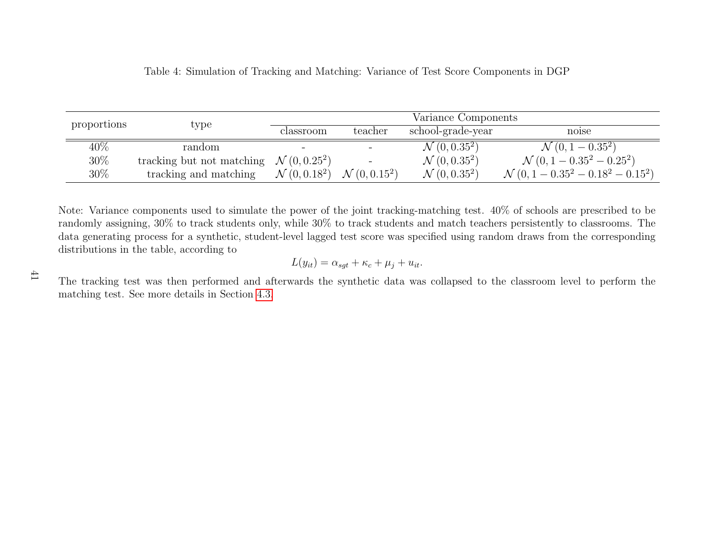<span id="page-41-0"></span>

|                       | Variance Components      |                                                    |                          |                                                |  |
|-----------------------|--------------------------|----------------------------------------------------|--------------------------|------------------------------------------------|--|
|                       | classroom                | teacher                                            | school-grade-year        | noise                                          |  |
| random                |                          |                                                    | $\mathcal{N}(0, 0.35^2)$ | $\mathcal{N}(0, 1 - 0.35^2)$                   |  |
|                       |                          | $\qquad \qquad \blacksquare$                       | $\mathcal{N}(0, 0.35^2)$ | $\mathcal{N}(0, 1 - 0.35^2 - 0.25^2)$          |  |
| tracking and matching | $\mathcal{N}(0, 0.18^2)$ | $\mathcal{N}(0, 0.15^2)$                           | $\mathcal{N}(0, 0.35^2)$ | $\mathcal{N}(0, 1 - 0.35^2 - 0.18^2 - 0.15^2)$ |  |
|                       | type                     | tracking but not matching $\mathcal{N}(0, 0.25^2)$ |                          |                                                |  |

Note: Variance components used to simulate the power of the joint tracking-matching test. 40% of schools are prescribed to be randomly assigning, 30% to track students only, while 30% to track students and match teachers persistently to classrooms. The data generating process for <sup>a</sup> synthetic, student-level lagged test score was specified using random draws from the correspondingdistributions in the table, according to

$$
L(y_{it}) = \alpha_{sgt} + \kappa_c + \mu_j + u_{it}.
$$

The tracking test was then performed and afterwards the synthetic data was collapsed to the classroom level to perform thematching test. See more details in Section [4.3.](#page-21-1)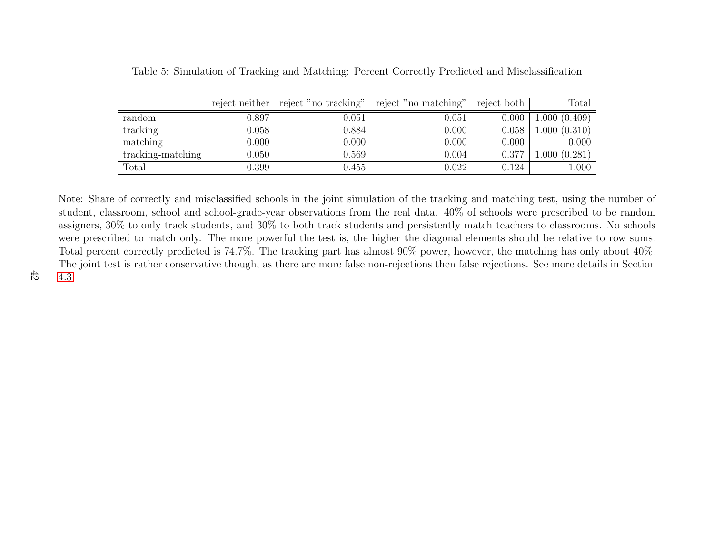|                   | reject neither | reject "no tracking" | reject "no matching" | reject both | $\text{Total}$ |
|-------------------|----------------|----------------------|----------------------|-------------|----------------|
| random            | 0.897          | 0.051                | 0.051                | 0.000       | 1.000(0.409)   |
| tracking          | 0.058          | 0.884                | 0.000                | 0.058       | 1.000(0.310)   |
| matching          | 0.000          | 0.000                | 0.000                | 0.000       | 0.000          |
| tracking-matching | 0.050          | 0.569                | 0.004                | 0.377       | .000(0.281)    |
| Total             | $0.399\,$      | 0.455                | 0.022                | 0.124       | 1.000          |

<span id="page-42-0"></span>Table 5: Simulation of Tracking and Matching: Percent Correctly Predicted and Misclassification

Note: Share of correctly and misclassified schools in the joint simulation of the tracking and matching test, using the number of student, classroom, school and school-grade-year observations from the real data. 40% of schools were prescribed to be random assigners, 30% to only track students, and 30% to both track students and persistently match teachers to classrooms. No schools were prescribed to match only. The more powerful the test is, the higher the diagonal elements should be relative to row sums.Total percent correctly predicted is 74.7%. The tracking part has almost 90% power, however, the matching has only about 40%.The joint test is rather conservative though, as there are more false non-rejections then false rejections. See more details in Section[4.3.](#page-21-1)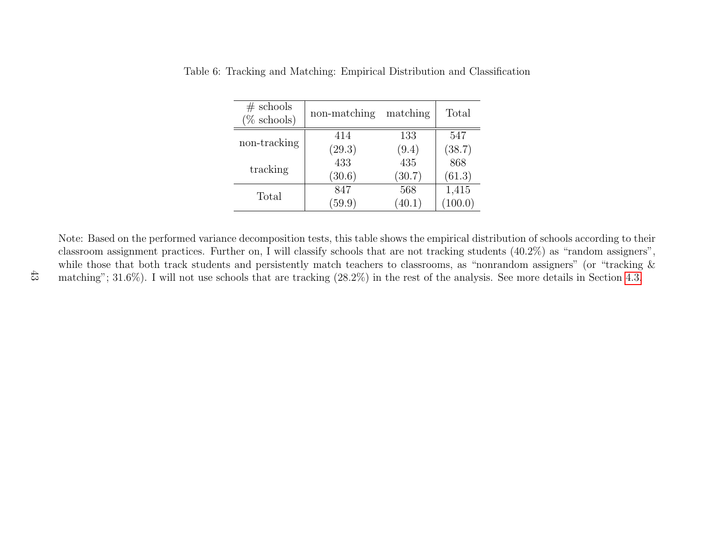| $#$ schools<br>$(\%$ schools) | non-matching | matching | Total   |
|-------------------------------|--------------|----------|---------|
| non-tracking                  | 414          | 133      | 547     |
|                               | (29.3)       | (9.4)    | (38.7)  |
| tracking                      | 433          | 435      | 868     |
|                               | (30.6)       | (30.7)   | (61.3)  |
| Total                         | 847          | 568      | 1,415   |
|                               | (59.9)       | (40.1)   | (100.0) |

<span id="page-43-0"></span>

|  |  | Table 6: Tracking and Matching: Empirical Distribution and Classification |  |  |  |  |  |
|--|--|---------------------------------------------------------------------------|--|--|--|--|--|
|--|--|---------------------------------------------------------------------------|--|--|--|--|--|

Note: Based on the performed variance decomposition tests, this table shows the empirical distribution of schools according to their classroom assignment practices. Further on, <sup>I</sup> will classify schools that are not tracking students (40.2%) as "random assigners",while those that both track students and persistently match teachers to classrooms, as "nonrandom assigners" (or "tracking  $\&$ matching"; 31.6%). <sup>I</sup> will not use schools that are tracking (28.2%) in the rest of the analysis. See more details in Section [4.3.](#page-21-1)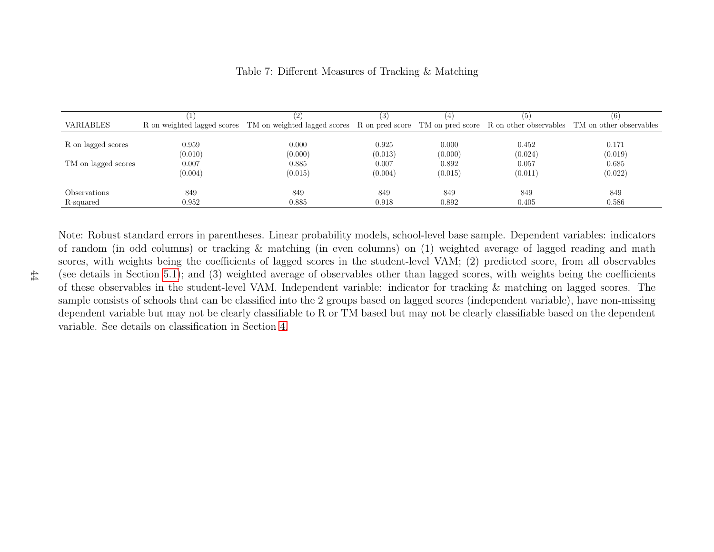|                     |         | (2)                                                                                                                                      | (3)     |         |         |         |
|---------------------|---------|------------------------------------------------------------------------------------------------------------------------------------------|---------|---------|---------|---------|
| VARIABLES           |         | R on weighted lagged scores TM on weighted lagged scores R on pred score TM on pred score R on other observables TM on other observables |         |         |         |         |
|                     |         |                                                                                                                                          |         |         |         |         |
| R on lagged scores  | 0.959   | 0.000                                                                                                                                    | 0.925   | 0.000   | 0.452   | 0.171   |
|                     | (0.010) | (0.000)                                                                                                                                  | (0.013) | (0.000) | (0.024) | (0.019) |
| TM on lagged scores | 0.007   | 0.885                                                                                                                                    | 0.007   | 0.892   | 0.057   | 0.685   |
|                     | (0.004) | (0.015)                                                                                                                                  | (0.004) | (0.015) | (0.011) | (0.022) |
| <i>Observations</i> | 849     | 849                                                                                                                                      | 849     | 849     | 849     | 849     |
| R-squared           | 0.952   | 0.885                                                                                                                                    | 0.918   | 0.892   | 0.405   | 0.586   |
|                     |         |                                                                                                                                          |         |         |         |         |

#### <span id="page-44-0"></span>Table 7: Different Measures of Tracking & Matching

Note: Robust standard errors in parentheses. Linear probability models, school-level base sample. Dependent variables: indicators of random (in odd columns) or tracking & matching (in even columns) on (1) weighted average of lagged reading and math scores, with weights being the coefficients of lagged scores in the student-level VAM; (2) predicted score, from all observables (see details in Section [5.1\)](#page-24-2); and (3) weighted average of observables other than lagged scores, with weights being the coefficients of these observables in the student-level VAM. Independent variable: indicator for tracking & matching on lagged scores. The sample consists of schools that can be classified into the <sup>2</sup> groups based on lagged scores (independent variable), have non-missing dependent variable but may not be clearly classifiable to R or TM based but may not be clearly classifiable based on the dependentvariable. See details on classification in Section [4.](#page-13-1)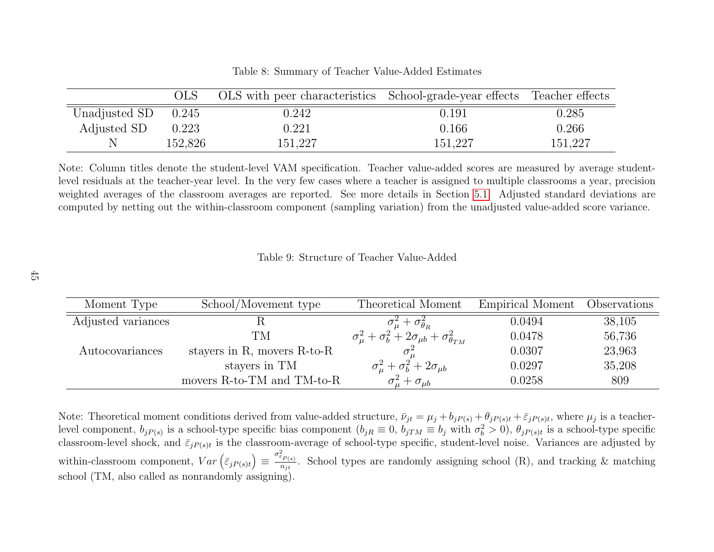|                       | OLS.    | OLS with peer characteristics School-grade-year effects Teacher effects |         |         |
|-----------------------|---------|-------------------------------------------------------------------------|---------|---------|
| Unadjusted SD $0.245$ |         | 0.242                                                                   | 0.191   | 0.285   |
| Adjusted SD           | 0.223   | 0.221                                                                   | 0.166   | 0.266   |
|                       | 152,826 | 151,227                                                                 | 151,227 | 151,227 |

<span id="page-45-1"></span><span id="page-45-0"></span>Table 8: Summary of Teacher Value-Added Estimates

Note: Column titles denote the student-level VAM specification. Teacher value-added scores are measured by average studentlevel residuals at the teacher-year level. In the very few cases where <sup>a</sup> teacher is assigned to multiple classrooms <sup>a</sup> year, precision weighted averages of the classroom averages are reported. See more details in Section [5.1.](#page-24-2) Adjusted standard deviations arecomputed by netting out the within-classroom component (sampling variation) from the unadjusted value-added score variance.

Table 9: Structure of Teacher Value-Added

| Moment Type        | School/Movement type              | Theoretical Moment                                                   | Empirical Moment | Observations |
|--------------------|-----------------------------------|----------------------------------------------------------------------|------------------|--------------|
| Adjusted variances |                                   | $+ \sigma_{\theta_R}^2$                                              | 0.0494           | 38,105       |
|                    | TМ                                | $\sigma_{\mu}^2+\sigma_{b}^2+2\sigma_{\mu b}+\sigma_{\theta_{TM}}^2$ | 0.0478           | 56,736       |
| Autocovariances    | stayers in R, movers $R$ -to- $R$ |                                                                      | 0.0307           | 23,963       |
| stayers in TM      |                                   | $\sigma_{\mu}^2 + \sigma_b^2 + 2\sigma_{\mu b}$                      | 0.0297           | 35,208       |
|                    | movers R-to-TM and TM-to-R        | $\sigma_{\mu}^2 + \sigma_{\mu b}$                                    | 0.0258           | 809          |

Note: Theoretical moment conditions derived from value-added structure,  $\bar{\nu}_{jt} = \mu_j + b_j P(s) + \theta_j P(s)t + \bar{\varepsilon}_j P(s)t$ , where  $\mu_j$  is a teacherlevel component,  $b_{jP(s)}$  is a school-type specific bias component  $(b_{jR} \equiv 0, b_{jTM} \equiv b_j \text{ with } \sigma_b^2 > 0)$ ,  $\theta_{jP(s)t}$  is a school-type specific classroom-level shock, and  $\bar{\varepsilon}_{jP(s)t}$  is the classroom-average of school-type specific, student-level noise. Variances are adjusted by within-classroom component,  $Var\left(\bar{\varepsilon}_{jP(s)t}\right) \equiv \frac{\sigma_{\varepsilon_{P(s)}}^2}{n_{jt}}$ . School types are randomly assigning school (R), and tracking & matching school (TM, also called as nonrandomly assigning).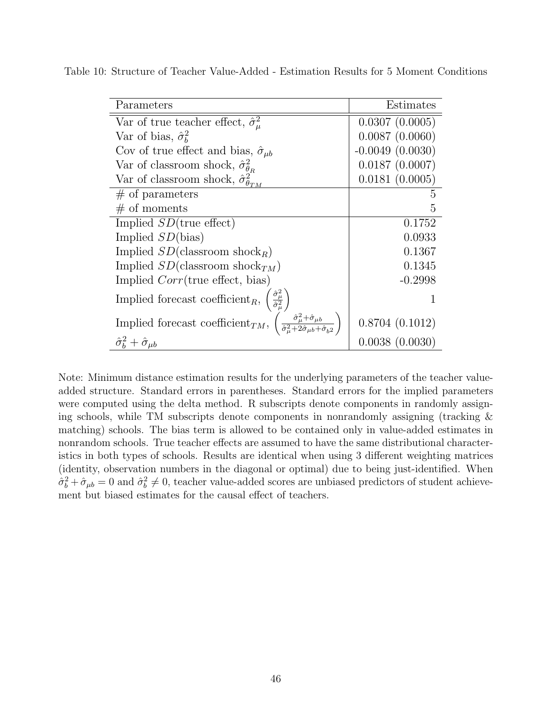<span id="page-46-0"></span>

| Parameters                                                                                                                                                                          | Estimates           |
|-------------------------------------------------------------------------------------------------------------------------------------------------------------------------------------|---------------------|
| Var of true teacher effect, $\hat{\sigma}_\mu^2$                                                                                                                                    | 0.0307(0.0005)      |
| Var of bias, $\hat{\sigma}_h^2$                                                                                                                                                     | 0.0087(0.0060)      |
| Cov of true effect and bias, $\hat{\sigma}_{\mu b}$                                                                                                                                 | $-0.0049(0.0030)$   |
| Var of classroom shock, $\hat{\sigma}_{\theta_{\rm p}}^2$                                                                                                                           | $0.0187$ $(0.0007)$ |
| Var of classroom shock, $\hat{\sigma}_{\theta_{TM}}^2$                                                                                                                              | 0.0181(0.0005)      |
| $#$ of parameters                                                                                                                                                                   | 5                   |
| # of moments                                                                                                                                                                        | 5                   |
| Implied $SD$ (true effect)                                                                                                                                                          | 0.1752              |
| Implied $SD(bias)$                                                                                                                                                                  | 0.0933              |
| Implied $SD$ (classroom shock <sub>R</sub> )                                                                                                                                        | 0.1367              |
| Implied $SD$ (classroom shock $_{TM}$ )                                                                                                                                             | 0.1345              |
| Implied $Corr$ (true effect, bias)                                                                                                                                                  | $-0.2998$           |
| Implied forecast $\mathrm{coefficient}_R,$                                                                                                                                          |                     |
| Implied forecast coefficient <sub>TM</sub> , $\left(\frac{\hat{\sigma}_{\mu}^2 + \hat{\sigma}_{\mu b}}{\hat{\sigma}_{\mu}^2 + 2\hat{\sigma}_{\mu b} + \hat{\sigma}_{\nu 2}}\right)$ | 0.8704(0.1012)      |
| $\hat{\sigma}_{h}^{2}+\hat{\sigma}_{ub}$                                                                                                                                            | 0.0038(0.0030)      |

Table 10: Structure of Teacher Value-Added - Estimation Results for 5 Moment Conditions

Note: Minimum distance estimation results for the underlying parameters of the teacher valueadded structure. Standard errors in parentheses. Standard errors for the implied parameters were computed using the delta method. R subscripts denote components in randomly assigning schools, while TM subscripts denote components in nonrandomly assigning (tracking  $\&$ matching) schools. The bias term is allowed to be contained only in value-added estimates in nonrandom schools. True teacher effects are assumed to have the same distributional characteristics in both types of schools. Results are identical when using 3 different weighting matrices (identity, observation numbers in the diagonal or optimal) due to being just-identified. When  $\hat{\sigma}_b^2 + \hat{\sigma}_{\mu b} = 0$  and  $\hat{\sigma}_b^2 \neq 0$ , teacher value-added scores are unbiased predictors of student achievement but biased estimates for the causal effect of teachers.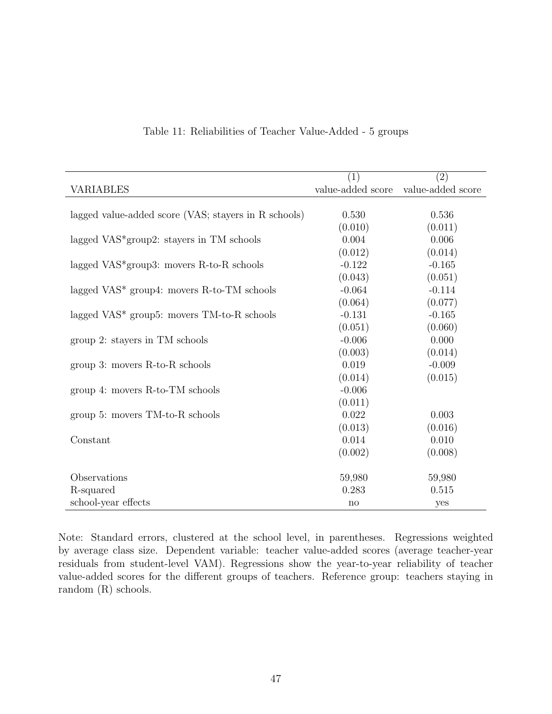|                                                       | $\overline{(1)}$  | (2)               |
|-------------------------------------------------------|-------------------|-------------------|
| <b>VARIABLES</b>                                      | value-added score | value-added score |
|                                                       |                   |                   |
| lagged value-added score (VAS; stayers in R schools)  | 0.530             | 0.536             |
|                                                       | (0.010)           | (0.011)           |
| lagged VAS <sup>*</sup> group2: stayers in TM schools | 0.004             | 0.006             |
|                                                       | (0.012)           | (0.014)           |
| lagged $VAS*$ group3: movers R-to-R schools           | $-0.122$          | $-0.165$          |
|                                                       | (0.043)           | (0.051)           |
| lagged $VAS^*$ group4: movers R-to-TM schools         | $-0.064$          | $-0.114$          |
|                                                       | (0.064)           | (0.077)           |
| lagged $VAS^*$ group5: movers $TM$ -to-R schools      | $-0.131$          | $-0.165$          |
|                                                       | (0.051)           | (0.060)           |
| group 2: stayers in TM schools                        | $-0.006$          | 0.000             |
|                                                       | (0.003)           | (0.014)           |
| group 3: movers $R$ -to- $R$ schools                  | 0.019             | $-0.009$          |
|                                                       | (0.014)           | (0.015)           |
| group 4: movers R-to-TM schools                       | $-0.006$          |                   |
|                                                       | (0.011)           |                   |
| group 5: movers TM-to-R schools                       | 0.022             | 0.003             |
|                                                       | (0.013)           | (0.016)           |
| Constant                                              | 0.014             | 0.010             |
|                                                       | (0.002)           | (0.008)           |
|                                                       |                   |                   |
| Observations                                          | 59,980            | 59,980            |
| R-squared                                             | 0.283             | 0.515             |
| school-year effects                                   | no                | yes               |

#### <span id="page-47-0"></span>Table 11: Reliabilities of Teacher Value-Added - 5 groups

Note: Standard errors, clustered at the school level, in parentheses. Regressions weighted by average class size. Dependent variable: teacher value-added scores (average teacher-year residuals from student-level VAM). Regressions show the year-to-year reliability of teacher value-added scores for the different groups of teachers. Reference group: teachers staying in random (R) schools.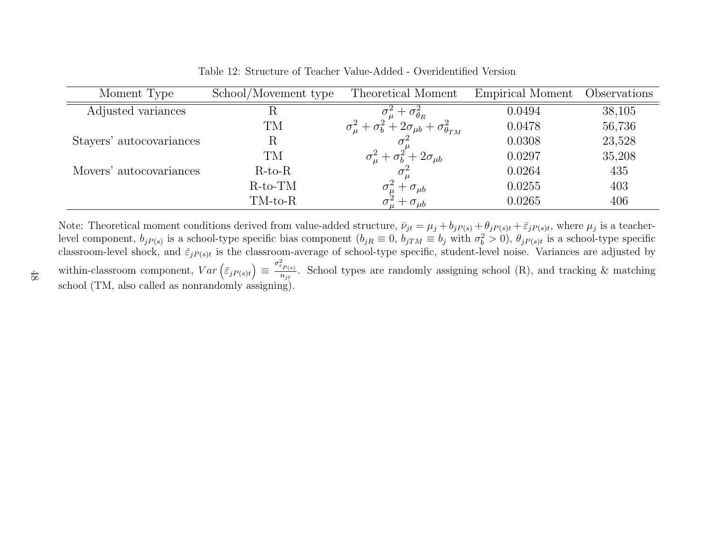| Moment Type              | School/Movement type | Theoretical Moment                                                                                                 | Empirical Moment | Observations |
|--------------------------|----------------------|--------------------------------------------------------------------------------------------------------------------|------------------|--------------|
| Adjusted variances       | R                    |                                                                                                                    | 0.0494           | 38,105       |
|                          | TM                   | $\sigma_{\mu}^2 + \sigma_{\theta_R}^2$<br>$\sigma_{\mu}^2 + \sigma_b^2 + 2\sigma_{\mu b} + \sigma_{\theta_{TM}}^2$ | 0.0478           | 56,736       |
| Stayers' autocovariances | R                    |                                                                                                                    | 0.0308           | 23,528       |
|                          | TM                   | $\sigma_{\mu}^2 + \sigma_b^2 + 2\sigma_{\mu b}$                                                                    | 0.0297           | 35,208       |
| Movers' autocovariances  | $R-to-R$             |                                                                                                                    | 0.0264           | 435          |
|                          | $R-to-TM$            | $+ \sigma_{\mu b}$                                                                                                 | 0.0255           | 403          |
|                          | TM-to-R              | $+ \sigma_{\mu b}$                                                                                                 | 0.0265           | 406          |

<span id="page-48-0"></span>Table 12: Structure of Teacher Value-Added - Overidentified Version

Note: Theoretical moment conditions derived from value-added structure,  $\bar{\nu}_{jt}$  =  $=\mu_j + b_j p_{(s)} + \theta_j p_{(s)t} + \bar{\varepsilon}_j p_{(s)t}$ , where  $\mu_j$  is a teacher-<br> $\bar{\varepsilon}_j$  with  $\sigma^2 > 0$ , as is a sekeel time specific level component,  $b_{jP(s)}$  is a school-type specific bias component  $(b_{jR(s)})$  $\equiv 0, b_{jTM}$  $\equiv b_j$  with  $\sigma$ level component,  $b_{jP(s)}$  is a school-type specific bias component  $(b_{jR} \equiv 0, b_{jTM} \equiv b_j$  with  $\sigma_b^2 > 0$ ),  $\theta_{jP(s)t}$  is a school-type specific classroom-average of school-type specific, student-level noise. Variances are within-classroom component,  $Var\left(\bar{\varepsilon}_{jP(s)t}\right) \equiv \frac{\sigma_{\varepsilon_{P(s)}}^2}{n_{jt}}$ . School types are randomly assigning school (R), and tracking & matching σ  $\frac{\sum_{P(s)}^{2} P(s)}{n_{jt}}$ . School types are randomly assigning school (R), and tracking & matching school (TM, also called as nonrandomly assigning).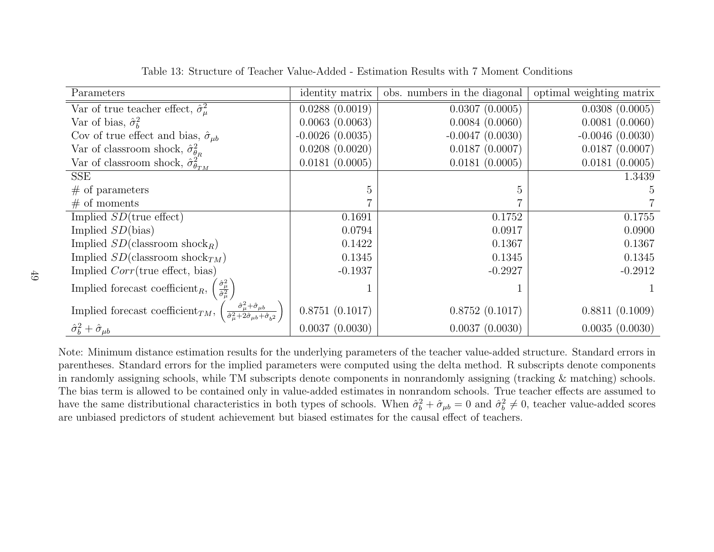| Parameters                                                                                                      | identity matrix   | obs. numbers in the diagonal | optimal weighting matrix |
|-----------------------------------------------------------------------------------------------------------------|-------------------|------------------------------|--------------------------|
| Var of true teacher effect, $\hat{\sigma}_\mu^2$                                                                | 0.0288(0.0019)    | 0.0307(0.0005)               | 0.0308(0.0005)           |
| Var of bias, $\hat{\sigma}_{h}^{2}$                                                                             | 0.0063(0.0063)    | 0.0084(0.0060)               | 0.0081(0.0060)           |
| Cov of true effect and bias, $\hat{\sigma}_{\mu b}$                                                             | $-0.0026(0.0035)$ | $-0.0047(0.0030)$            | $-0.0046(0.0030)$        |
| Var of classroom shock, $\hat{\sigma}_{\theta_R}^2$                                                             | 0.0208(0.0020)    | 0.0187(0.0007)               | 0.0187(0.0007)           |
| Var of classroom shock, $\hat{\sigma}_{\theta_{TM}}^2$                                                          | 0.0181(0.0005)    | 0.0181(0.0005)               | 0.0181(0.0005)           |
| SSE                                                                                                             |                   |                              | 1.3439                   |
| $#$ of parameters                                                                                               | 5                 | 5                            |                          |
| # of moments                                                                                                    | 7                 |                              |                          |
| Implied $SD$ (true effect)                                                                                      | 0.1691            | 0.1752                       | 0.1755                   |
| Implied $SD(bias)$                                                                                              | 0.0794            | 0.0917                       | 0.0900                   |
| Implied $SD$ (classroom shock <sub>R</sub> )                                                                    | 0.1422            | 0.1367                       | 0.1367                   |
| Implied $SD$ (classroom shock <sub>TM</sub> )                                                                   | 0.1345            | 0.1345                       | 0.1345                   |
| Implied $Corr$ (true effect, bias)                                                                              | $-0.1937$         | $-0.2927$                    | $-0.2912$                |
| $\frac{\hat{\sigma}_{\mu}^2}{\hat{\sigma}_{\mu}^2}$<br>Implied forecast coefficient <sub><math>R</math></sub> , |                   |                              |                          |
| $\hat{\sigma}_{\mu}^2 + \hat{\sigma}_{\mu b}$<br>Implied forecast coefficient <sub>TM</sub> ,                   | 0.8751(0.1017)    | 0.8752(0.1017)               | 0.8811(0.1009)           |
| $\hat{\sigma}_{b}^{2}+\hat{\sigma}_{\mu b}$                                                                     | 0.0037(0.0030)    | 0.0037(0.0030)               | 0.0035(0.0030)           |

<span id="page-49-0"></span>Table 13: Structure of Teacher Value-Added - Estimation Results with 7 Moment Conditions

Note: Minimum distance estimation results for the underlying parameters of the teacher value-added structure. Standard errors in parentheses. Standard errors for the implied parameters were computed using the delta method. R subscripts denote components in randomly assigning schools, while TM subscripts denote components in nonrandomly assigning (tracking & matching) schools. The bias term is allowed to be contained only in value-added estimates in nonrandom schools. True teacher effects are assumed tohave the same distributional characteristics in both types of schools. When  $\hat{\sigma}_b^2 + \hat{\sigma}_{\mu b} = 0$  and  $\hat{\sigma}_b^2 \neq 0$ , teacher value-added scores are unbiased predictors of student achievement but biased estimates for the causal effect of teachers.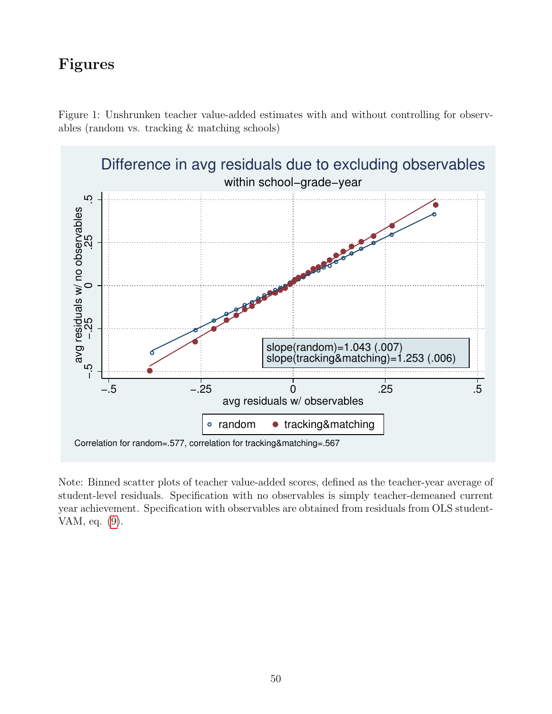# Figures

<span id="page-50-0"></span>



Note: Binned scatter plots of teacher value-added scores, defined as the teacher-year average of student-level residuals. Specification with no observables is simply teacher-demeaned current year achievement. Specification with observables are obtained from residuals from OLS student-VAM, eq. [\(9\)](#page-24-1).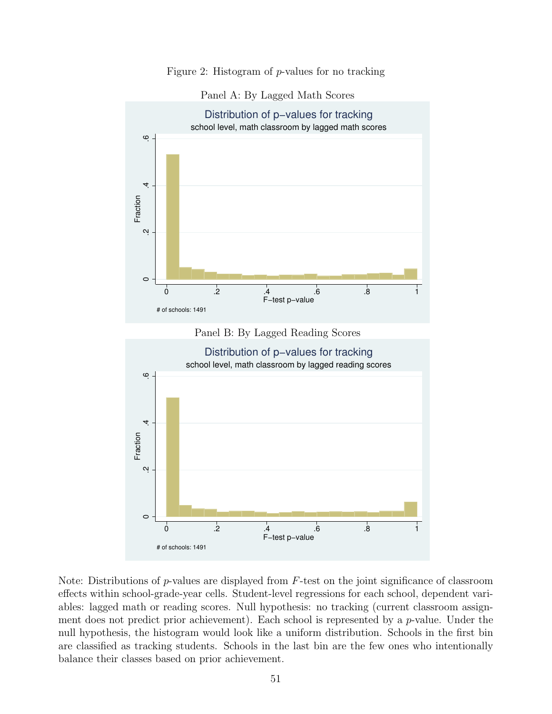#### Figure 2: Histogram of p-values for no tracking

#### <span id="page-51-0"></span>Panel A: By Lagged Math Scores





Note: Distributions of  $p$ -values are displayed from  $F$ -test on the joint significance of classroom effects within school-grade-year cells. Student-level regressions for each school, dependent variables: lagged math or reading scores. Null hypothesis: no tracking (current classroom assignment does not predict prior achievement). Each school is represented by a  $p$ -value. Under the null hypothesis, the histogram would look like a uniform distribution. Schools in the first bin are classified as tracking students. Schools in the last bin are the few ones who intentionally balance their classes based on prior achievement.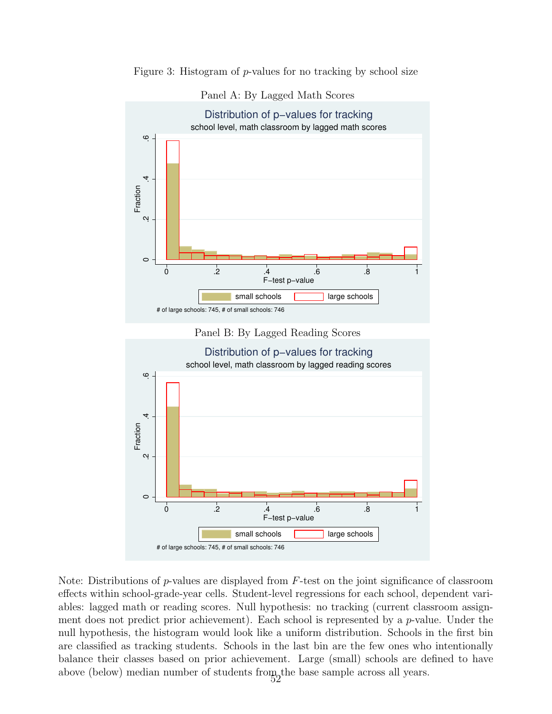



<span id="page-52-0"></span>Panel A: By Lagged Math Scores





Note: Distributions of  $p$ -values are displayed from  $F$ -test on the joint significance of classroom effects within school-grade-year cells. Student-level regressions for each school, dependent variables: lagged math or reading scores. Null hypothesis: no tracking (current classroom assignment does not predict prior achievement). Each school is represented by a  $p$ -value. Under the null hypothesis, the histogram would look like a uniform distribution. Schools in the first bin are classified as tracking students. Schools in the last bin are the few ones who intentionally balance their classes based on prior achievement. Large (small) schools are defined to have above (below) median number of students from the base sample across all years.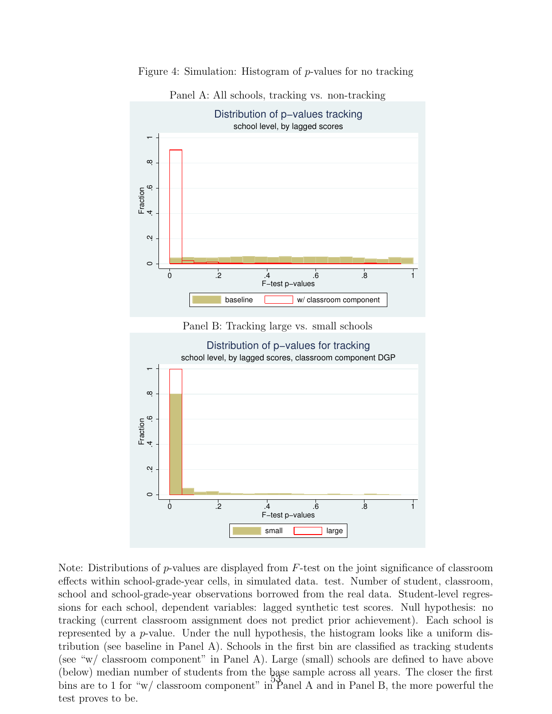

Figure 4: Simulation: Histogram of p-values for no tracking

<span id="page-53-0"></span>Panel A: All schools, tracking vs. non-tracking

Note: Distributions of  $p$ -values are displayed from  $F$ -test on the joint significance of classroom effects within school-grade-year cells, in simulated data. test. Number of student, classroom, school and school-grade-year observations borrowed from the real data. Student-level regressions for each school, dependent variables: lagged synthetic test scores. Null hypothesis: no tracking (current classroom assignment does not predict prior achievement). Each school is represented by a p-value. Under the null hypothesis, the histogram looks like a uniform distribution (see baseline in Panel A). Schools in the first bin are classified as tracking students (see "w/ classroom component" in Panel A). Large (small) schools are defined to have above (below) median number of students from the base sample across all years. The closer the first bins are to 1 for "w/ classroom component" in Panel A and in Panel B, the more powerful the test proves to be.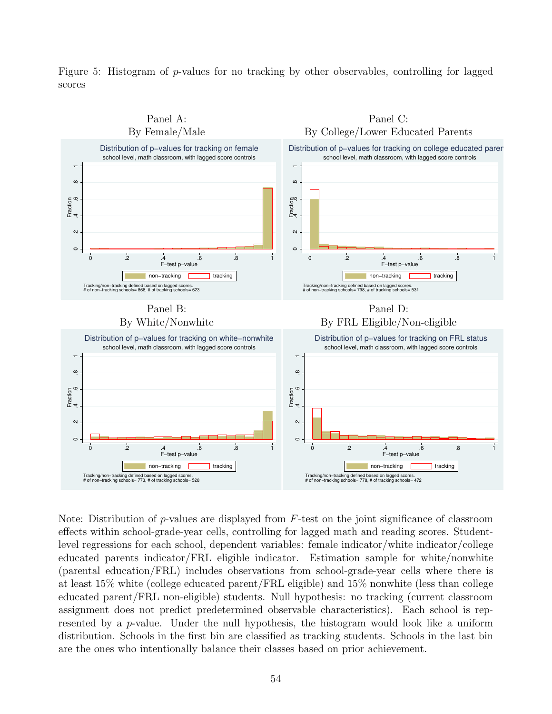<span id="page-54-0"></span>Figure 5: Histogram of p-values for no tracking by other observables, controlling for lagged scores



Note: Distribution of  $p$ -values are displayed from  $F$ -test on the joint significance of classroom effects within school-grade-year cells, controlling for lagged math and reading scores. Studentlevel regressions for each school, dependent variables: female indicator/white indicator/college educated parents indicator/FRL eligible indicator. Estimation sample for white/nonwhite (parental education/FRL) includes observations from school-grade-year cells where there is at least 15% white (college educated parent/FRL eligible) and 15% nonwhite (less than college educated parent/FRL non-eligible) students. Null hypothesis: no tracking (current classroom assignment does not predict predetermined observable characteristics). Each school is represented by a  $p$ -value. Under the null hypothesis, the histogram would look like a uniform distribution. Schools in the first bin are classified as tracking students. Schools in the last bin are the ones who intentionally balance their classes based on prior achievement.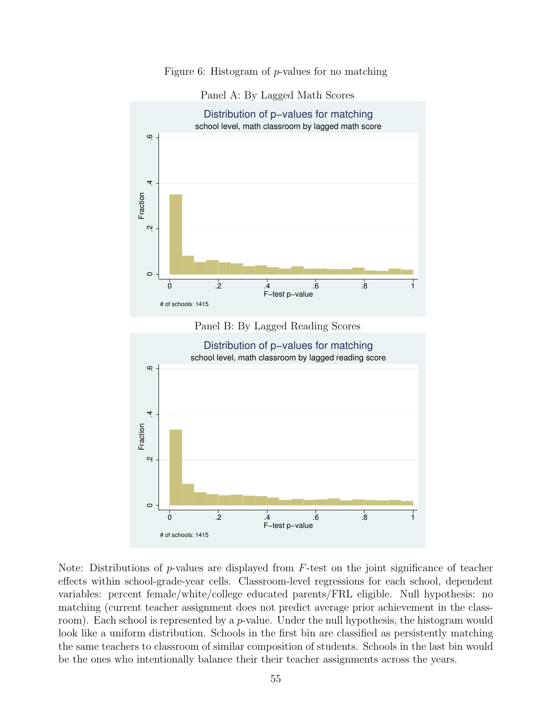Figure 6: Histogram of p-values for no matching

<span id="page-55-0"></span>



Note: Distributions of p-values are displayed from  $F$ -test on the joint significance of teacher effects within school-grade-year cells. Classroom-level regressions for each school, dependent variables: percent female/white/college educated parents/FRL eligible. Null hypothesis: no matching (current teacher assignment does not predict average prior achievement in the classroom). Each school is represented by a  $p$ -value. Under the null hypothesis, the histogram would look like a uniform distribution. Schools in the first bin are classified as persistently matching the same teachers to classroom of similar composition of students. Schools in the last bin would be the ones who intentionally balance their their teacher assignments across the years.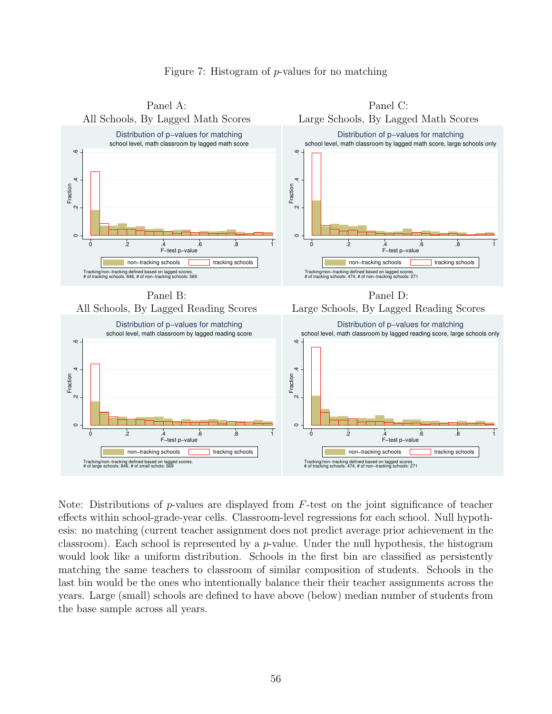

#### <span id="page-56-0"></span>Figure 7: Histogram of p-values for no matching

Note: Distributions of p-values are displayed from  $F$ -test on the joint significance of teacher effects within school-grade-year cells. Classroom-level regressions for each school. Null hypothesis: no matching (current teacher assignment does not predict average prior achievement in the classroom). Each school is represented by a  $p$ -value. Under the null hypothesis, the histogram would look like a uniform distribution. Schools in the first bin are classified as persistently matching the same teachers to classroom of similar composition of students. Schools in the last bin would be the ones who intentionally balance their their teacher assignments across the years. Large (small) schools are defined to have above (below) median number of students from the base sample across all years.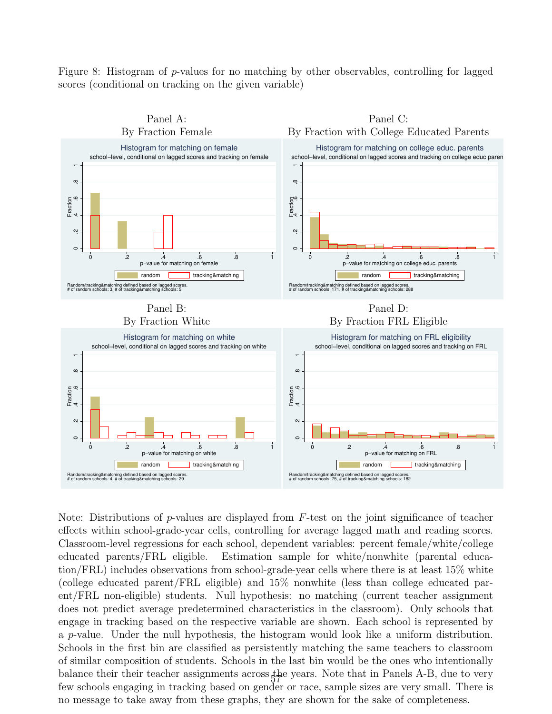<span id="page-57-0"></span>Figure 8: Histogram of p-values for no matching by other observables, controlling for lagged scores (conditional on tracking on the given variable)



Note: Distributions of p-values are displayed from  $F$ -test on the joint significance of teacher effects within school-grade-year cells, controlling for average lagged math and reading scores. Classroom-level regressions for each school, dependent variables: percent female/white/college educated parents/FRL eligible. Estimation sample for white/nonwhite (parental education/FRL) includes observations from school-grade-year cells where there is at least 15% white (college educated parent/FRL eligible) and 15% nonwhite (less than college educated parent/FRL non-eligible) students. Null hypothesis: no matching (current teacher assignment does not predict average predetermined characteristics in the classroom). Only schools that engage in tracking based on the respective variable are shown. Each school is represented by a p-value. Under the null hypothesis, the histogram would look like a uniform distribution. Schools in the first bin are classified as persistently matching the same teachers to classroom of similar composition of students. Schools in the last bin would be the ones who intentionally balance their their teacher assignments across the years. Note that in Panels A-B, due to very few schools engaging in tracking based on gender or race, sample sizes are very small. There is no message to take away from these graphs, they are shown for the sake of completeness.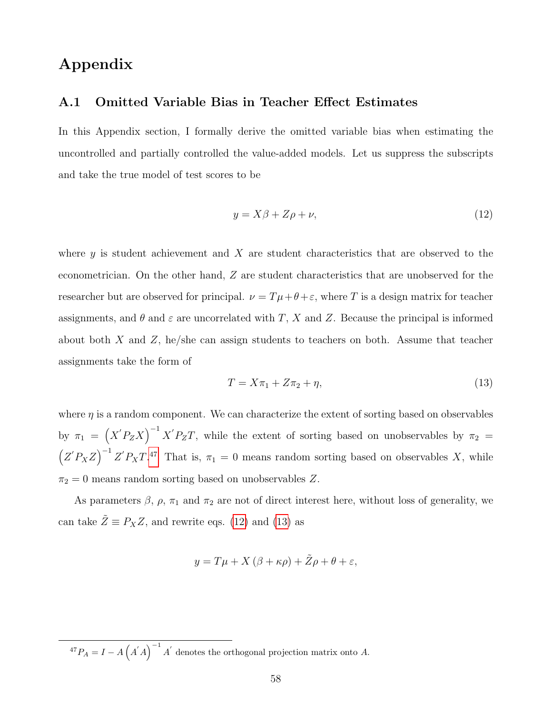## Appendix

### <span id="page-58-0"></span>A.1 Omitted Variable Bias in Teacher Effect Estimates

In this Appendix section, I formally derive the omitted variable bias when estimating the uncontrolled and partially controlled the value-added models. Let us suppress the subscripts and take the true model of test scores to be

<span id="page-58-1"></span>
$$
y = X\beta + Z\rho + \nu,\tag{12}
$$

where  $y$  is student achievement and  $X$  are student characteristics that are observed to the econometrician. On the other hand, Z are student characteristics that are unobserved for the researcher but are observed for principal.  $\nu = T\mu + \theta + \varepsilon$ , where T is a design matrix for teacher assignments, and  $\theta$  and  $\varepsilon$  are uncorrelated with T, X and Z. Because the principal is informed about both X and Z, he/she can assign students to teachers on both. Assume that teacher assignments take the form of

<span id="page-58-2"></span>
$$
T = X\pi_1 + Z\pi_2 + \eta,\tag{13}
$$

where  $\eta$  is a random component. We can characterize the extent of sorting based on observables by  $\pi_1 = (X'P_ZX)^{-1}X'P_ZT$ , while the extent of sorting based on unobservables by  $\pi_2 =$  $(Z'P_XZ)^{-1}Z'P_XT^{47}$  $(Z'P_XZ)^{-1}Z'P_XT^{47}$  $(Z'P_XZ)^{-1}Z'P_XT^{47}$  That is,  $\pi_1=0$  means random sorting based on observables X, while  $\pi_2 = 0$  means random sorting based on unobservables Z.

As parameters  $\beta$ ,  $\rho$ ,  $\pi_1$  and  $\pi_2$  are not of direct interest here, without loss of generality, we can take  $\tilde{Z} \equiv P_X Z$ , and rewrite eqs. [\(12\)](#page-58-1) and [\(13\)](#page-58-2) as

$$
y = T\mu + X(\beta + \kappa \rho) + \tilde{Z}\rho + \theta + \varepsilon,
$$

<sup>47</sup> $P_A = I - A(A'A)^{-1} A'$  denotes the orthogonal projection matrix onto A.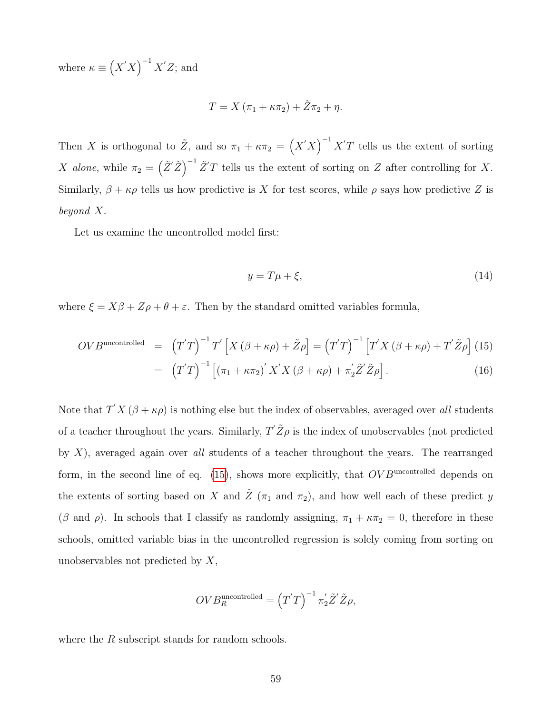where  $\kappa \equiv (X'X)^{-1}X'Z$ ; and

$$
T = X(\pi_1 + \kappa \pi_2) + \tilde{Z}\pi_2 + \eta.
$$

Then X is orthogonal to  $\tilde{Z}$ , and so  $\pi_1 + \kappa \pi_2 = (X'X)^{-1}X'T$  tells us the extent of sorting X alone, while  $\pi_2 = (\tilde{Z}'\tilde{Z})^{-1}\tilde{Z}'T$  tells us the extent of sorting on Z after controlling for X. Similarly,  $\beta + \kappa \rho$  tells us how predictive is X for test scores, while  $\rho$  says how predictive Z is beyond X.

Let us examine the uncontrolled model first:

$$
y = T\mu + \xi,\tag{14}
$$

where  $\xi = X\beta + Z\rho + \theta + \varepsilon$ . Then by the standard omitted variables formula,

<span id="page-59-0"></span>
$$
OVBuncontrolled = (T'T)-1T'[X (\beta + \kappa \rho) + \tilde{Z}\rho] = (T'T)-1 [T'X (\beta + \kappa \rho) + T'\tilde{Z}\rho] (15)
$$
  
= 
$$
(T'T)-1 [(\pi_1 + \kappa \pi_2)' X'X (\beta + \kappa \rho) + \pi'_2 \tilde{Z}' \tilde{Z}\rho].
$$
 (16)

Note that  $T'X(\beta + \kappa \rho)$  is nothing else but the index of observables, averaged over all students of a teacher throughout the years. Similarly,  $T' \tilde{Z} \rho$  is the index of unobservables (not predicted by  $X$ ), averaged again over all students of a teacher throughout the years. The rearranged form, in the second line of eq.  $(15)$ , shows more explicitly, that  $OVB<sup>uncontrolled</sup>$  depends on the extents of sorting based on X and  $\tilde{Z}$  ( $\pi_1$  and  $\pi_2$ ), and how well each of these predict y ( $\beta$  and  $\rho$ ). In schools that I classify as randomly assigning,  $\pi_1 + \kappa \pi_2 = 0$ , therefore in these schools, omitted variable bias in the uncontrolled regression is solely coming from sorting on unobservables not predicted by X,

$$
OVB_R^{\text{uncontrolled}} = (T'T)^{-1} \pi'_2 \tilde{Z}' \tilde{Z} \rho,
$$

where the R subscript stands for random schools.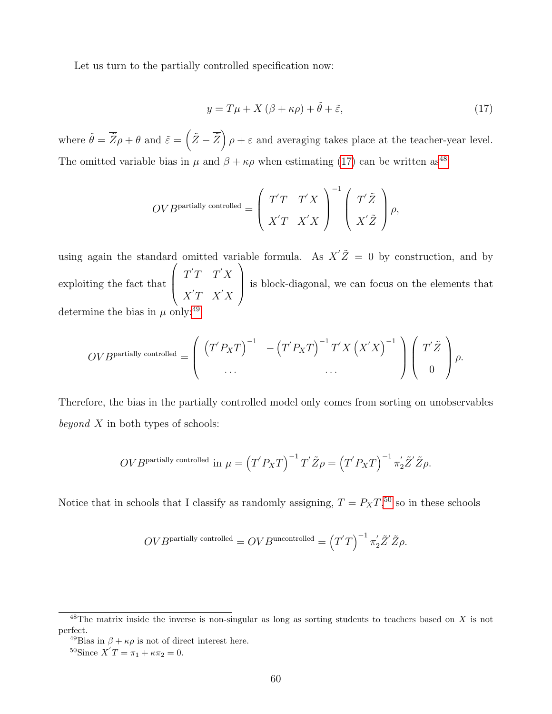Let us turn to the partially controlled specification now:

<span id="page-60-0"></span>
$$
y = T\mu + X(\beta + \kappa \rho) + \tilde{\theta} + \tilde{\varepsilon}, \tag{17}
$$

where  $\tilde{\theta} = \overline{\tilde{Z}}\rho + \theta$  and  $\tilde{\varepsilon} = (\tilde{Z} - \overline{\tilde{Z}}) \rho + \varepsilon$  and averaging takes place at the teacher-year level. The omitted variable bias in  $\mu$  and  $\beta + \kappa \rho$  when estimating [\(17\)](#page-60-0) can be written as<sup>[48](#page-0-0)</sup>

$$
OVBpartially controlled = \left(\begin{array}{cc} T'T & T'X \\ X'T & X'X \end{array}\right)^{-1} \left(\begin{array}{c} T'\tilde{Z} \\ X'\tilde{Z} \end{array}\right) \rho,
$$

using again the standard omitted variable formula. As  $X' \tilde{Z} = 0$  by construction, and by exploiting the fact that  $\sqrt{ }$  $\overline{\phantom{a}}$  $T'T$   $T'X$  $X'T$   $X'X$  $\setminus$  is block-diagonal, we can focus on the elements that determine the bias in  $\mu$  only:<sup>[49](#page-0-0)</sup>

$$
OVBpartially controlled = \left( \begin{array}{cc} \left( T' P_X T \right)^{-1} & - \left( T' P_X T \right)^{-1} T' X \left( X' X \right)^{-1} \\ \cdots & \cdots \end{array} \right) \left( \begin{array}{c} T' \tilde{Z} \\ 0 \end{array} \right) \rho.
$$

Therefore, the bias in the partially controlled model only comes from sorting on unobservables beyond  $X$  in both types of schools:

$$
OVBpartially controlled in \mu = (T'P_XT)^{-1} T' \tilde{Z} \rho = (T'P_XT)^{-1} \pi'_2 \tilde{Z}' \tilde{Z} \rho.
$$

Notice that in schools that I classify as randomly assigning,  $T = P_X T$ ,<sup>[50](#page-0-0)</sup> so in these schools

$$
OVBpartially controlled = OVBuncontrolled = (T'T)-1 \pi'_{2}\tilde{Z}'\tilde{Z}\rho.
$$

 $48$ The matrix inside the inverse is non-singular as long as sorting students to teachers based on X is not perfect.

<sup>&</sup>lt;sup>49</sup>Bias in  $\beta + \kappa \rho$  is not of direct interest here.

<sup>&</sup>lt;sup>50</sup>Since  $X'T = \pi_1 + \kappa \pi_2 = 0$ .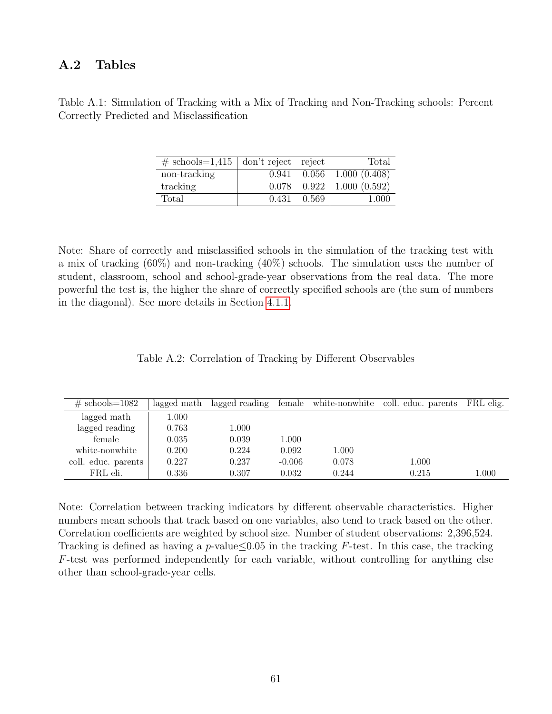### A.2 Tables

| $\#$ schools=1,415   don't reject reject |       |       | Total                   |
|------------------------------------------|-------|-------|-------------------------|
| non-tracking                             | 0.941 |       | $0.056$   1.000 (0.408) |
| tracking                                 | 0.078 |       | $0.922$   1.000 (0.592) |
| Total                                    | 0.431 | 0.569 | 1.000                   |

Table A.1: Simulation of Tracking with a Mix of Tracking and Non-Tracking schools: Percent Correctly Predicted and Misclassification

Note: Share of correctly and misclassified schools in the simulation of the tracking test with a mix of tracking (60%) and non-tracking (40%) schools. The simulation uses the number of student, classroom, school and school-grade-year observations from the real data. The more powerful the test is, the higher the share of correctly specified schools are (the sum of numbers in the diagonal). See more details in Section [4.1.1.](#page-16-0)

| Table A.2: Correlation of Tracking by Different Observables |  |  |  |  |  |
|-------------------------------------------------------------|--|--|--|--|--|
|-------------------------------------------------------------|--|--|--|--|--|

| $\#$ schools=1082   | lagged math | lagged reading | female   | white-nonwhite | coll. educ. parents | FRL elig. |
|---------------------|-------------|----------------|----------|----------------|---------------------|-----------|
| lagged math         | 1.000       |                |          |                |                     |           |
| lagged reading      | 0.763       | 1.000          |          |                |                     |           |
| female              | 0.035       | 0.039          | 1.000    |                |                     |           |
| white-nonwhite      | 0.200       | 0.224          | 0.092    | 1.000          |                     |           |
| coll. educ. parents | 0.227       | 0.237          | $-0.006$ | 0.078          | 1.000               |           |
| FRL eli.            | 0.336       | 0.307          | 0.032    | 0.244          | 0.215               | 1.000     |

Note: Correlation between tracking indicators by different observable characteristics. Higher numbers mean schools that track based on one variables, also tend to track based on the other. Correlation coefficients are weighted by school size. Number of student observations: 2,396,524. Tracking is defined as having a p-value $\leq 0.05$  in the tracking F-test. In this case, the tracking F-test was performed independently for each variable, without controlling for anything else other than school-grade-year cells.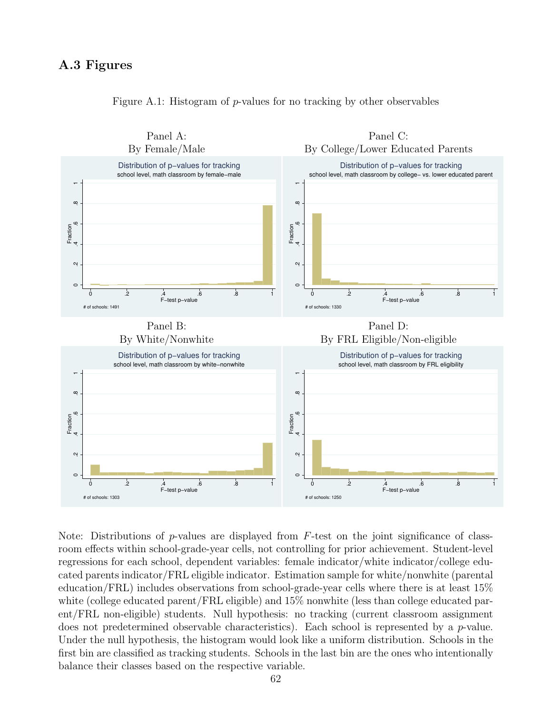### A.3 Figures



Figure A.1: Histogram of p-values for no tracking by other observables

Note: Distributions of p-values are displayed from  $F$ -test on the joint significance of classroom effects within school-grade-year cells, not controlling for prior achievement. Student-level regressions for each school, dependent variables: female indicator/white indicator/college educated parents indicator/FRL eligible indicator. Estimation sample for white/nonwhite (parental education/FRL) includes observations from school-grade-year cells where there is at least 15% white (college educated parent/FRL eligible) and 15% nonwhite (less than college educated parent/FRL non-eligible) students. Null hypothesis: no tracking (current classroom assignment does not predetermined observable characteristics). Each school is represented by a p-value. Under the null hypothesis, the histogram would look like a uniform distribution. Schools in the first bin are classified as tracking students. Schools in the last bin are the ones who intentionally balance their classes based on the respective variable.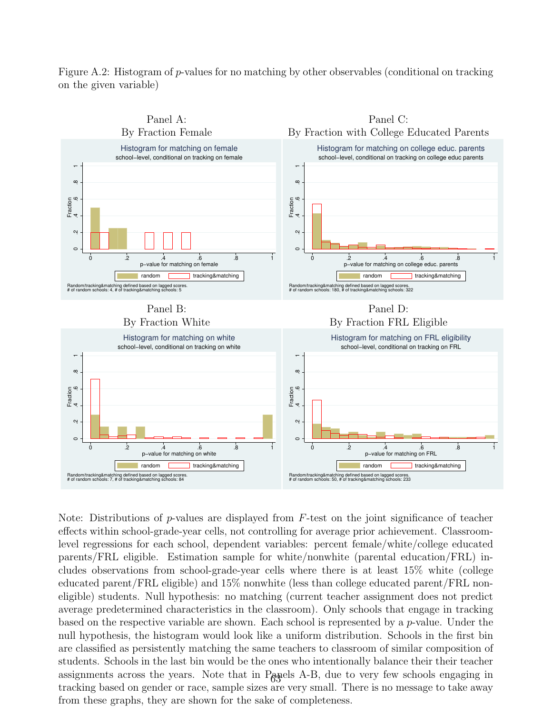Figure A.2: Histogram of p-values for no matching by other observables (conditional on tracking on the given variable)



Note: Distributions of p-values are displayed from  $F$ -test on the joint significance of teacher effects within school-grade-year cells, not controlling for average prior achievement. Classroomlevel regressions for each school, dependent variables: percent female/white/college educated parents/FRL eligible. Estimation sample for white/nonwhite (parental education/FRL) includes observations from school-grade-year cells where there is at least 15% white (college educated parent/FRL eligible) and 15% nonwhite (less than college educated parent/FRL noneligible) students. Null hypothesis: no matching (current teacher assignment does not predict average predetermined characteristics in the classroom). Only schools that engage in tracking based on the respective variable are shown. Each school is represented by a p-value. Under the null hypothesis, the histogram would look like a uniform distribution. Schools in the first bin are classified as persistently matching the same teachers to classroom of similar composition of students. Schools in the last bin would be the ones who intentionally balance their their teacher assignments across the years. Note that in Panels A-B, due to very few schools engaging in tracking based on gender or race, sample sizes are very small. There is no message to take away from these graphs, they are shown for the sake of completeness.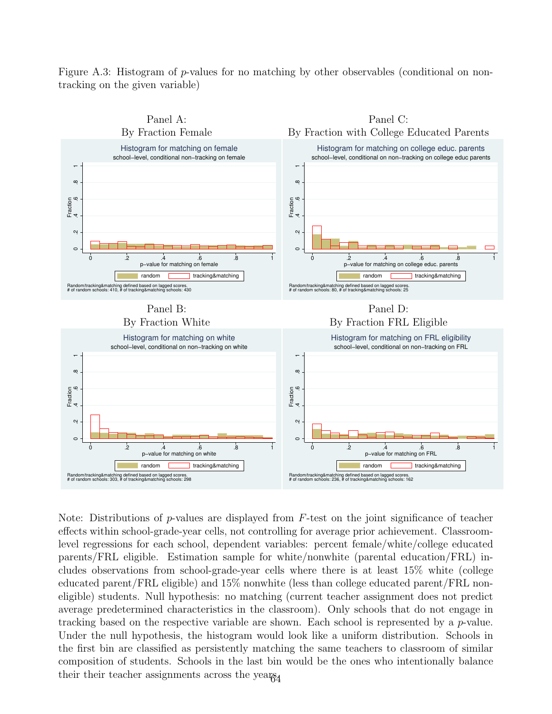Figure A.3: Histogram of p-values for no matching by other observables (conditional on nontracking on the given variable)



Note: Distributions of p-values are displayed from  $F$ -test on the joint significance of teacher effects within school-grade-year cells, not controlling for average prior achievement. Classroomlevel regressions for each school, dependent variables: percent female/white/college educated parents/FRL eligible. Estimation sample for white/nonwhite (parental education/FRL) includes observations from school-grade-year cells where there is at least 15% white (college educated parent/FRL eligible) and 15% nonwhite (less than college educated parent/FRL noneligible) students. Null hypothesis: no matching (current teacher assignment does not predict average predetermined characteristics in the classroom). Only schools that do not engage in tracking based on the respective variable are shown. Each school is represented by a p-value. Under the null hypothesis, the histogram would look like a uniform distribution. Schools in the first bin are classified as persistently matching the same teachers to classroom of similar composition of students. Schools in the last bin would be the ones who intentionally balance their their teacher assignments across the years